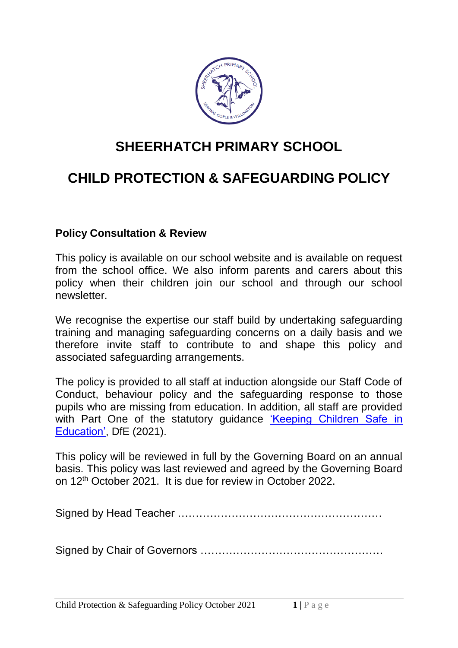

# **SHEERHATCH PRIMARY SCHOOL**

# **CHILD PROTECTION & SAFEGUARDING POLICY**

# **Policy Consultation & Review**

This policy is available on our school website and is available on request from the school office. We also inform parents and carers about this policy when their children join our school and through our school newsletter.

We recognise the expertise our staff build by undertaking safeguarding training and managing safeguarding concerns on a daily basis and we therefore invite staff to contribute to and shape this policy and associated safeguarding arrangements.

The policy is provided to all staff at induction alongside our Staff Code of Conduct, behaviour policy and the safeguarding response to those pupils who are missing from education. In addition, all staff are provided with Part One of the statutory quidance 'Keeping Children Safe in [Education',](https://www.gov.uk/government/publications/keeping-children-safe-in-education--2) DfE (2021).

This policy will be reviewed in full by the Governing Board on an annual basis. This policy was last reviewed and agreed by the Governing Board on 12th October 2021. It is due for review in October 2022.

Signed by Head Teacher …………………………………………………

Signed by Chair of Governors ……………………………………………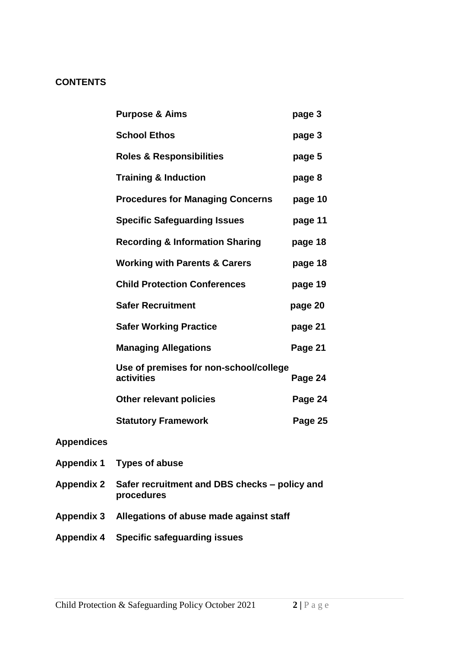# **CONTENTS**

|                   | <b>Purpose &amp; Aims</b>                                       | page 3  |  |
|-------------------|-----------------------------------------------------------------|---------|--|
|                   | <b>School Ethos</b>                                             | page 3  |  |
|                   | <b>Roles &amp; Responsibilities</b>                             | page 5  |  |
|                   | <b>Training &amp; Induction</b>                                 | page 8  |  |
|                   | <b>Procedures for Managing Concerns</b>                         | page 10 |  |
|                   | <b>Specific Safeguarding Issues</b>                             | page 11 |  |
|                   | <b>Recording &amp; Information Sharing</b>                      | page 18 |  |
|                   | <b>Working with Parents &amp; Carers</b>                        | page 18 |  |
|                   | <b>Child Protection Conferences</b>                             | page 19 |  |
|                   | <b>Safer Recruitment</b>                                        | page 20 |  |
|                   | <b>Safer Working Practice</b>                                   | page 21 |  |
|                   | <b>Managing Allegations</b>                                     | Page 21 |  |
|                   | Use of premises for non-school/college<br>activities<br>Page 24 |         |  |
|                   | <b>Other relevant policies</b>                                  | Page 24 |  |
|                   | <b>Statutory Framework</b>                                      | Page 25 |  |
| <b>Appendices</b> |                                                                 |         |  |
|                   | Appendix 1 Types of abuse                                       |         |  |
| <b>Appendix 2</b> | Safer recruitment and DBS checks – policy and<br>procedures     |         |  |
| <b>Appendix 3</b> | Allegations of abuse made against staff                         |         |  |

**Appendix 4 Specific safeguarding issues**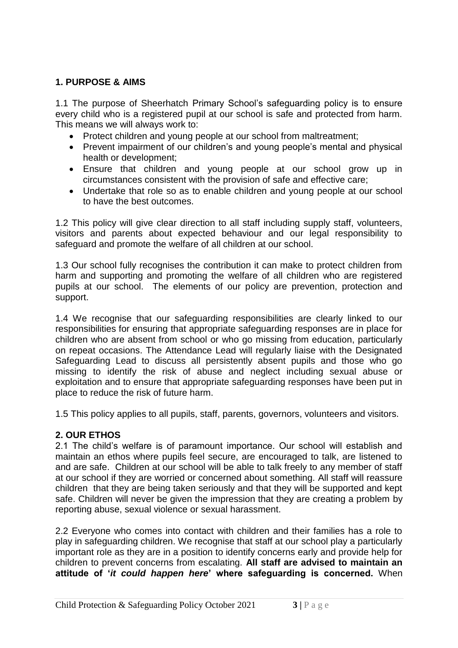# **1. PURPOSE & AIMS**

1.1 The purpose of Sheerhatch Primary School's safeguarding policy is to ensure every child who is a registered pupil at our school is safe and protected from harm. This means we will always work to:

- Protect children and young people at our school from maltreatment;
- Prevent impairment of our children's and young people's mental and physical health or development;
- Ensure that children and young people at our school grow up in circumstances consistent with the provision of safe and effective care;
- Undertake that role so as to enable children and young people at our school to have the best outcomes.

1.2 This policy will give clear direction to all staff including supply staff, volunteers, visitors and parents about expected behaviour and our legal responsibility to safeguard and promote the welfare of all children at our school.

1.3 Our school fully recognises the contribution it can make to protect children from harm and supporting and promoting the welfare of all children who are registered pupils at our school. The elements of our policy are prevention, protection and support.

1.4 We recognise that our safeguarding responsibilities are clearly linked to our responsibilities for ensuring that appropriate safeguarding responses are in place for children who are absent from school or who go missing from education, particularly on repeat occasions. The Attendance Lead will regularly liaise with the Designated Safeguarding Lead to discuss all persistently absent pupils and those who go missing to identify the risk of abuse and neglect including sexual abuse or exploitation and to ensure that appropriate safeguarding responses have been put in place to reduce the risk of future harm.

1.5 This policy applies to all pupils, staff, parents, governors, volunteers and visitors.

# **2. OUR ETHOS**

2.1 The child's welfare is of paramount importance. Our school will establish and maintain an ethos where pupils feel secure, are encouraged to talk, are listened to and are safe. Children at our school will be able to talk freely to any member of staff at our school if they are worried or concerned about something. All staff will reassure children that they are being taken seriously and that they will be supported and kept safe. Children will never be given the impression that they are creating a problem by reporting abuse, sexual violence or sexual harassment.

2.2 Everyone who comes into contact with children and their families has a role to play in safeguarding children. We recognise that staff at our school play a particularly important role as they are in a position to identify concerns early and provide help for children to prevent concerns from escalating. **All staff are advised to maintain an attitude of '***it could happen here***' where safeguarding is concerned.** When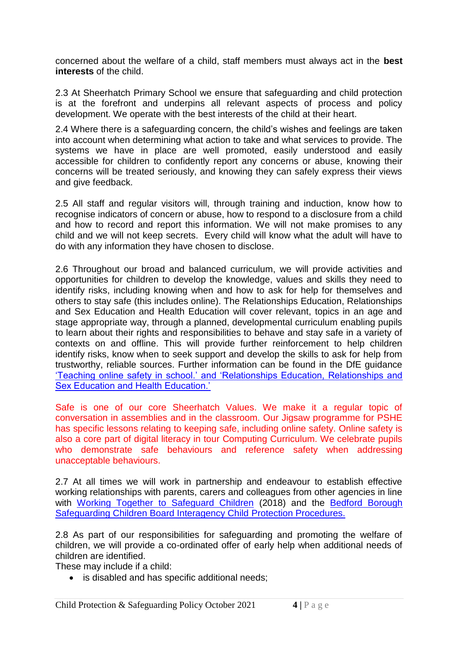concerned about the welfare of a child, staff members must always act in the **best interests** of the child.

2.3 At Sheerhatch Primary School we ensure that safeguarding and child protection is at the forefront and underpins all relevant aspects of process and policy development. We operate with the best interests of the child at their heart.

2.4 Where there is a safeguarding concern, the child's wishes and feelings are taken into account when determining what action to take and what services to provide. The systems we have in place are well promoted, easily understood and easily accessible for children to confidently report any concerns or abuse, knowing their concerns will be treated seriously, and knowing they can safely express their views and give feedback.

2.5 All staff and regular visitors will, through training and induction, know how to recognise indicators of concern or abuse, how to respond to a disclosure from a child and how to record and report this information. We will not make promises to any child and we will not keep secrets. Every child will know what the adult will have to do with any information they have chosen to disclose.

2.6 Throughout our broad and balanced curriculum, we will provide activities and opportunities for children to develop the knowledge, values and skills they need to identify risks, including knowing when and how to ask for help for themselves and others to stay safe (this includes online). The Relationships Education, Relationships and Sex Education and Health Education will cover relevant, topics in an age and stage appropriate way, through a planned, developmental curriculum enabling pupils to learn about their rights and responsibilities to behave and stay safe in a variety of contexts on and offline. This will provide further reinforcement to help children identify risks, know when to seek support and develop the skills to ask for help from trustworthy, reliable sources. Further information can be found in the DfE guidance ['Teaching online safety in school.'](https://eur02.safelinks.protection.outlook.com/?url=https%3A%2F%2Fwww.gov.uk%2Fgovernment%2Fpublications%2Fteaching-online-safety-in-schools&data=04%7C01%7Clucy.canning%40norfolk.gov.uk%7C11813432630640e7421e08d946fee158%7C1419177e57e04f0faff0fd61b549d10e%7C0%7C0%7C637618882774063772%7CUnknown%7CTWFpbGZsb3d8eyJWIjoiMC4wLjAwMDAiLCJQIjoiV2luMzIiLCJBTiI6Ik1haWwiLCJXVCI6Mn0%3D%7C1000&sdata=a2veyRcU68QpbVQnKd2mEYenXhUqX%2FvR6LhxjVtRjRw%3D&reserved=0) and 'Relationships Education, Relationships and Sex Education and Health Education.'

Safe is one of our core Sheerhatch Values. We make it a regular topic of conversation in assemblies and in the classroom. Our Jigsaw programme for PSHE has specific lessons relating to keeping safe, including online safety. Online safety is also a core part of digital literacy in tour Computing Curriculum. We celebrate pupils who demonstrate safe behaviours and reference safety when addressing unacceptable behaviours.

2.7 At all times we will work in partnership and endeavour to establish effective working relationships with parents, carers and colleagues from other agencies in line with [Working Together to Safeguard Children](https://www.gov.uk/government/publications/working-together-to-safeguard-children--2) (2018) and the Bedford Borough [Safeguarding Children Board Interagency Child Protection Procedures.](https://bedfordscb.proceduresonline.com/)

2.8 As part of our responsibilities for safeguarding and promoting the welfare of children, we will provide a co-ordinated offer of early help when additional needs of children are identified.

These may include if a child:

• is disabled and has specific additional needs;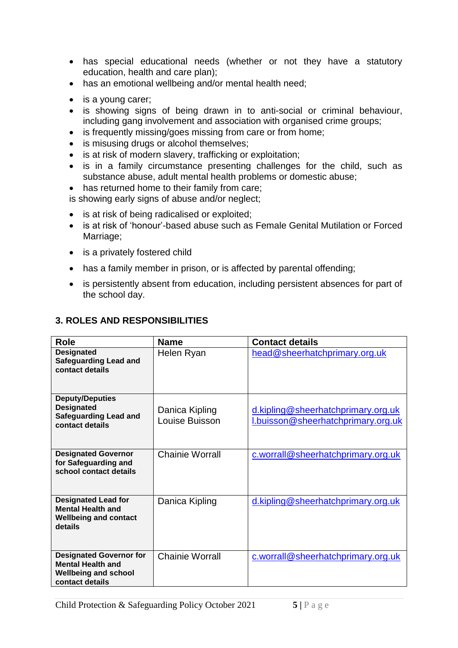- has special educational needs (whether or not they have a statutory education, health and care plan);
- has an emotional wellbeing and/or mental health need;
- is a young carer;
- is showing signs of being drawn in to anti-social or criminal behaviour, including gang involvement and association with organised crime groups;
- is frequently missing/goes missing from care or from home;
- is misusing drugs or alcohol themselves:
- is at risk of modern slavery, trafficking or exploitation;
- is in a family circumstance presenting challenges for the child, such as substance abuse, adult mental health problems or domestic abuse;
- has returned home to their family from care;
- is showing early signs of abuse and/or neglect;
- is at risk of being radicalised or exploited;
- is at risk of 'honour'-based abuse such as Female Genital Mutilation or Forced Marriage;
- is a privately fostered child
- has a family member in prison, or is affected by parental offending;
- is persistently absent from education, including persistent absences for part of the school day.

# **3. ROLES AND RESPONSIBILITIES**

| <b>Role</b>                                                                                                  | <b>Name</b>                      | <b>Contact details</b>                                                   |
|--------------------------------------------------------------------------------------------------------------|----------------------------------|--------------------------------------------------------------------------|
| <b>Designated</b><br><b>Safeguarding Lead and</b><br>contact details                                         | Helen Ryan                       | head@sheerhatchprimary.org.uk                                            |
| <b>Deputy/Deputies</b><br><b>Designated</b><br><b>Safeguarding Lead and</b><br>contact details               | Danica Kipling<br>Louise Buisson | d.kipling@sheerhatchprimary.org.uk<br>I.buisson@sheerhatchprimary.org.uk |
| <b>Designated Governor</b><br>for Safeguarding and<br>school contact details                                 | <b>Chainie Worrall</b>           | c.worrall@sheerhatchprimary.org.uk                                       |
| <b>Designated Lead for</b><br><b>Mental Health and</b><br><b>Wellbeing and contact</b><br>details            | Danica Kipling                   | d.kipling@sheerhatchprimary.org.uk                                       |
| <b>Designated Governor for</b><br><b>Mental Health and</b><br><b>Wellbeing and school</b><br>contact details | <b>Chainie Worrall</b>           | c.worrall@sheerhatchprimary.org.uk                                       |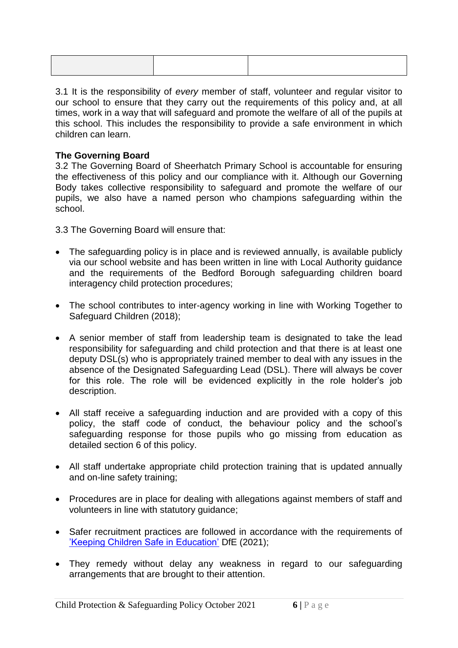3.1 It is the responsibility of *every* member of staff, volunteer and regular visitor to our school to ensure that they carry out the requirements of this policy and, at all times, work in a way that will safeguard and promote the welfare of all of the pupils at this school. This includes the responsibility to provide a safe environment in which children can learn.

# **The Governing Board**

3.2 The Governing Board of Sheerhatch Primary School is accountable for ensuring the effectiveness of this policy and our compliance with it. Although our Governing Body takes collective responsibility to safeguard and promote the welfare of our pupils, we also have a named person who champions safeguarding within the school.

3.3 The Governing Board will ensure that:

- The safeguarding policy is in place and is reviewed annually, is available publicly via our school website and has been written in line with Local Authority guidance and the requirements of the Bedford Borough safeguarding children board interagency child protection procedures;
- The school contributes to inter-agency working in line with Working Together to Safeguard Children (2018);
- A senior member of staff from leadership team is designated to take the lead responsibility for safeguarding and child protection and that there is at least one deputy DSL(s) who is appropriately trained member to deal with any issues in the absence of the Designated Safeguarding Lead (DSL). There will always be cover for this role. The role will be evidenced explicitly in the role holder's job description.
- All staff receive a safeguarding induction and are provided with a copy of this policy, the staff code of conduct, the behaviour policy and the school's safeguarding response for those pupils who go missing from education as detailed section 6 of this policy.
- All staff undertake appropriate child protection training that is updated annually and on-line safety training;
- Procedures are in place for dealing with allegations against members of staff and volunteers in line with statutory guidance;
- Safer recruitment practices are followed in accordance with the requirements of ['Keeping Children Safe in Education'](https://www.gov.uk/government/publications/keeping-children-safe-in-education--2) DfE (2021);
- They remedy without delay any weakness in regard to our safeguarding arrangements that are brought to their attention.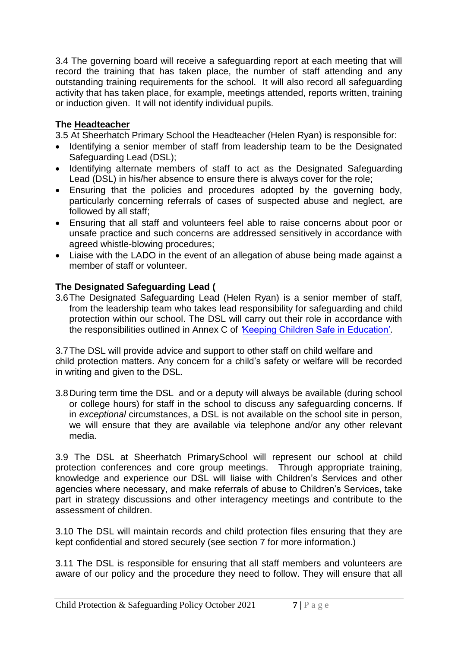3.4 The governing board will receive a safeguarding report at each meeting that will record the training that has taken place, the number of staff attending and any outstanding training requirements for the school. It will also record all safeguarding activity that has taken place, for example, meetings attended, reports written, training or induction given. It will not identify individual pupils.

# **The Headteacher**

3.5 At Sheerhatch Primary School the Headteacher (Helen Ryan) is responsible for:

- Identifying a senior member of staff from leadership team to be the Designated Safeguarding Lead (DSL);
- Identifying alternate members of staff to act as the Designated Safeguarding Lead (DSL) in his/her absence to ensure there is always cover for the role;
- Ensuring that the policies and procedures adopted by the governing body, particularly concerning referrals of cases of suspected abuse and neglect, are followed by all staff;
- Ensuring that all staff and volunteers feel able to raise concerns about poor or unsafe practice and such concerns are addressed sensitively in accordance with agreed whistle-blowing procedures;
- Liaise with the LADO in the event of an allegation of abuse being made against a member of staff or volunteer.

# **The Designated Safeguarding Lead (**

3.6The Designated Safeguarding Lead (Helen Ryan) is a senior member of staff, from the leadership team who takes lead responsibility for safeguarding and child protection within our school. The DSL will carry out their role in accordance with the responsibilities outlined in Annex C of *'*[Keeping Children Safe in Education'](https://www.gov.uk/government/publications/keeping-children-safe-in-education--2)*.* 

3.7The DSL will provide advice and support to other staff on child welfare and child protection matters. Any concern for a child's safety or welfare will be recorded in writing and given to the DSL.

3.8During term time the DSL and or a deputy will always be available (during school or college hours) for staff in the school to discuss any safeguarding concerns. If in *exceptional* circumstances, a DSL is not available on the school site in person, we will ensure that they are available via telephone and/or any other relevant media.

3.9 The DSL at Sheerhatch PrimarySchool will represent our school at child protection conferences and core group meetings. Through appropriate training, knowledge and experience our DSL will liaise with Children's Services and other agencies where necessary, and make referrals of abuse to Children's Services, take part in strategy discussions and other interagency meetings and contribute to the assessment of children.

3.10 The DSL will maintain records and child protection files ensuring that they are kept confidential and stored securely (see section 7 for more information.)

3.11 The DSL is responsible for ensuring that all staff members and volunteers are aware of our policy and the procedure they need to follow. They will ensure that all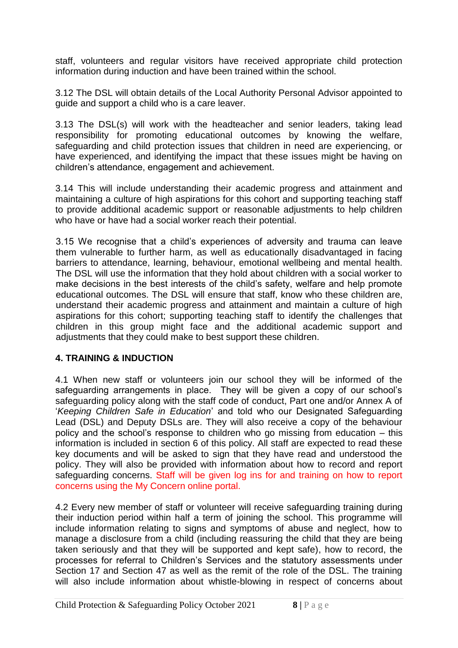staff, volunteers and regular visitors have received appropriate child protection information during induction and have been trained within the school.

3.12 The DSL will obtain details of the Local Authority Personal Advisor appointed to guide and support a child who is a care leaver.

3.13 The DSL(s) will work with the headteacher and senior leaders, taking lead responsibility for promoting educational outcomes by knowing the welfare, safeguarding and child protection issues that children in need are experiencing, or have experienced, and identifying the impact that these issues might be having on children's attendance, engagement and achievement.

3.14 This will include understanding their academic progress and attainment and maintaining a culture of high aspirations for this cohort and supporting teaching staff to provide additional academic support or reasonable adjustments to help children who have or have had a social worker reach their potential.

3.15 We recognise that a child's experiences of adversity and trauma can leave them vulnerable to further harm, as well as educationally disadvantaged in facing barriers to attendance, learning, behaviour, emotional wellbeing and mental health. The DSL will use the information that they hold about children with a social worker to make decisions in the best interests of the child's safety, welfare and help promote educational outcomes. The DSL will ensure that staff, know who these children are, understand their academic progress and attainment and maintain a culture of high aspirations for this cohort; supporting teaching staff to identify the challenges that children in this group might face and the additional academic support and adjustments that they could make to best support these children.

# **4. TRAINING & INDUCTION**

4.1 When new staff or volunteers join our school they will be informed of the safeguarding arrangements in place. They will be given a copy of our school's safeguarding policy along with the staff code of conduct, Part one and/or Annex A of '*Keeping Children Safe in Education*' and told who our Designated Safeguarding Lead (DSL) and Deputy DSLs are. They will also receive a copy of the behaviour policy and the school's response to children who go missing from education – this information is included in section 6 of this policy. All staff are expected to read these key documents and will be asked to sign that they have read and understood the policy. They will also be provided with information about how to record and report safeguarding concerns. Staff will be given log ins for and training on how to report concerns using the My Concern online portal.

4.2 Every new member of staff or volunteer will receive safeguarding training during their induction period within half a term of joining the school. This programme will include information relating to signs and symptoms of abuse and neglect, how to manage a disclosure from a child (including reassuring the child that they are being taken seriously and that they will be supported and kept safe), how to record, the processes for referral to Children's Services and the statutory assessments under Section 17 and Section 47 as well as the remit of the role of the DSL. The training will also include information about whistle-blowing in respect of concerns about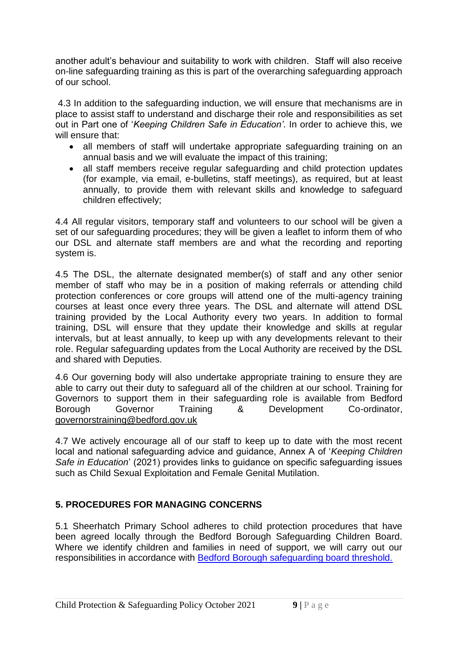another adult's behaviour and suitability to work with children. Staff will also receive on-line safeguarding training as this is part of the overarching safeguarding approach of our school.

4.3 In addition to the safeguarding induction, we will ensure that mechanisms are in place to assist staff to understand and discharge their role and responsibilities as set out in Part one of '*Keeping Children Safe in Education'*. In order to achieve this, we will ensure that:

- all members of staff will undertake appropriate safeguarding training on an annual basis and we will evaluate the impact of this training;
- all staff members receive regular safeguarding and child protection updates (for example, via email, e-bulletins, staff meetings), as required, but at least annually, to provide them with relevant skills and knowledge to safeguard children effectively;

4.4 All regular visitors, temporary staff and volunteers to our school will be given a set of our safeguarding procedures; they will be given a leaflet to inform them of who our DSL and alternate staff members are and what the recording and reporting system is.

4.5 The DSL, the alternate designated member(s) of staff and any other senior member of staff who may be in a position of making referrals or attending child protection conferences or core groups will attend one of the multi-agency training courses at least once every three years. The DSL and alternate will attend DSL training provided by the Local Authority every two years. In addition to formal training, DSL will ensure that they update their knowledge and skills at regular intervals, but at least annually, to keep up with any developments relevant to their role. Regular safeguarding updates from the Local Authority are received by the DSL and shared with Deputies.

4.6 Our governing body will also undertake appropriate training to ensure they are able to carry out their duty to safeguard all of the children at our school. Training for Governors to support them in their safeguarding role is available from Bedford Borough Governor Training & Development Co-ordinator, [governorstraining@bedford.gov.uk](mailto:governorstraining@bedford.gov.uk)

4.7 We actively encourage all of our staff to keep up to date with the most recent local and national safeguarding advice and guidance, Annex A of '*Keeping Children Safe in Education*' (2021) provides links to guidance on specific safeguarding issues such as Child Sexual Exploitation and Female Genital Mutilation.

# **5. PROCEDURES FOR MANAGING CONCERNS**

5.1 Sheerhatch Primary School adheres to child protection procedures that have been agreed locally through the Bedford Borough Safeguarding Children Board. Where we identify children and families in need of support, we will carry out our responsibilities in accordance with [Bedford Borough safeguarding board threshold.](https://www.bedford.gov.uk/social-care-health-and-community/children-young-people/safeguarding-children-board/practitioners/thresholds/)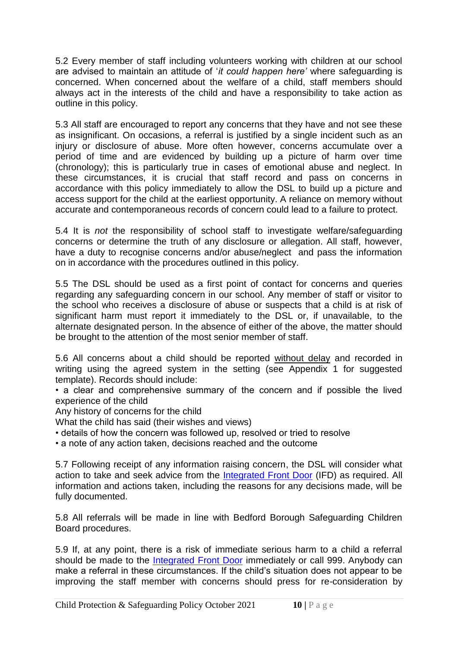5.2 Every member of staff including volunteers working with children at our school are advised to maintain an attitude of '*it could happen here'* where safeguarding is concerned. When concerned about the welfare of a child, staff members should always act in the interests of the child and have a responsibility to take action as outline in this policy.

5.3 All staff are encouraged to report any concerns that they have and not see these as insignificant. On occasions, a referral is justified by a single incident such as an injury or disclosure of abuse. More often however, concerns accumulate over a period of time and are evidenced by building up a picture of harm over time (chronology); this is particularly true in cases of emotional abuse and neglect. In these circumstances, it is crucial that staff record and pass on concerns in accordance with this policy immediately to allow the DSL to build up a picture and access support for the child at the earliest opportunity. A reliance on memory without accurate and contemporaneous records of concern could lead to a failure to protect.

5.4 It is *not* the responsibility of school staff to investigate welfare/safeguarding concerns or determine the truth of any disclosure or allegation. All staff, however, have a duty to recognise concerns and/or abuse/neglect and pass the information on in accordance with the procedures outlined in this policy.

5.5 The DSL should be used as a first point of contact for concerns and queries regarding any safeguarding concern in our school. Any member of staff or visitor to the school who receives a disclosure of abuse or suspects that a child is at risk of significant harm must report it immediately to the DSL or, if unavailable, to the alternate designated person. In the absence of either of the above, the matter should be brought to the attention of the most senior member of staff.

5.6 All concerns about a child should be reported without delay and recorded in writing using the agreed system in the setting (see Appendix 1 for suggested template). Records should include:

• a clear and comprehensive summary of the concern and if possible the lived experience of the child

Any history of concerns for the child

What the child has said (their wishes and views)

- details of how the concern was followed up, resolved or tried to resolve
- a note of any action taken, decisions reached and the outcome

5.7 Following receipt of any information raising concern, the DSL will consider what action to take and seek advice from the [Integrated Front Door](https://www.bedford.gov.uk/social-care-health-and-community/children-young-people/child-protection/if-you-are-concerned/) (IFD) as required. All information and actions taken, including the reasons for any decisions made, will be fully documented.

5.8 All referrals will be made in line with Bedford Borough Safeguarding Children Board procedures.

5.9 If, at any point, there is a risk of immediate serious harm to a child a referral should be made to the [Integrated Front Door](https://www.bedford.gov.uk/social-care-health-and-community/children-young-people/child-protection/if-you-are-concerned/) immediately or call 999. Anybody can make a referral in these circumstances. If the child's situation does not appear to be improving the staff member with concerns should press for re-consideration by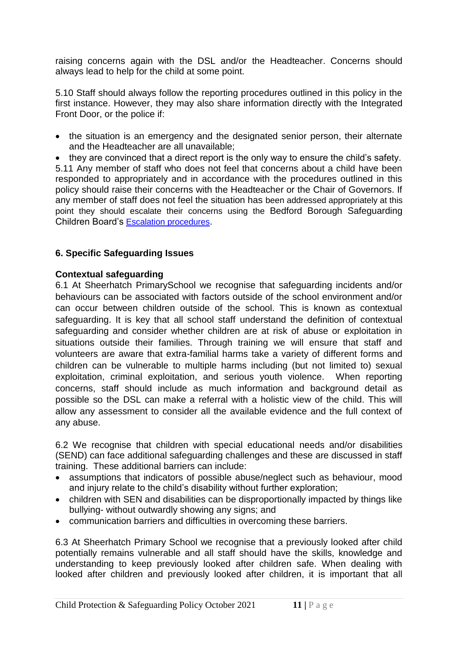raising concerns again with the DSL and/or the Headteacher. Concerns should always lead to help for the child at some point.

5.10 Staff should always follow the reporting procedures outlined in this policy in the first instance. However, they may also share information directly with the Integrated Front Door, or the police if:

• the situation is an emergency and the designated senior person, their alternate and the Headteacher are all unavailable;

• they are convinced that a direct report is the only way to ensure the child's safety. 5.11 Any member of staff who does not feel that concerns about a child have been responded to appropriately and in accordance with the procedures outlined in this policy should raise their concerns with the Headteacher or the Chair of Governors. If any member of staff does not feel the situation has been addressed appropriately at this point they should escalate their concerns using the Bedford Borough Safeguarding Children Board's [Escalation procedures](https://bedfordscb.proceduresonline.com/p_resolution_disagree.html).

# **6. Specific Safeguarding Issues**

# **Contextual safeguarding**

6.1 At Sheerhatch PrimarySchool we recognise that safeguarding incidents and/or behaviours can be associated with factors outside of the school environment and/or can occur between children outside of the school. This is known as contextual safeguarding. It is key that all school staff understand the definition of contextual safeguarding and consider whether children are at risk of abuse or exploitation in situations outside their families. Through training we will ensure that staff and volunteers are aware that extra-familial harms take a variety of different forms and children can be vulnerable to multiple harms including (but not limited to) sexual exploitation, criminal exploitation, and serious youth violence. When reporting concerns, staff should include as much information and background detail as possible so the DSL can make a referral with a holistic view of the child. This will allow any assessment to consider all the available evidence and the full context of any abuse.

6.2 We recognise that children with special educational needs and/or disabilities (SEND) can face additional safeguarding challenges and these are discussed in staff training. These additional barriers can include:

- assumptions that indicators of possible abuse/neglect such as behaviour, mood and injury relate to the child's disability without further exploration;
- children with SEN and disabilities can be disproportionally impacted by things like bullying- without outwardly showing any signs; and
- communication barriers and difficulties in overcoming these barriers.

6.3 At Sheerhatch Primary School we recognise that a previously looked after child potentially remains vulnerable and all staff should have the skills, knowledge and understanding to keep previously looked after children safe. When dealing with looked after children and previously looked after children, it is important that all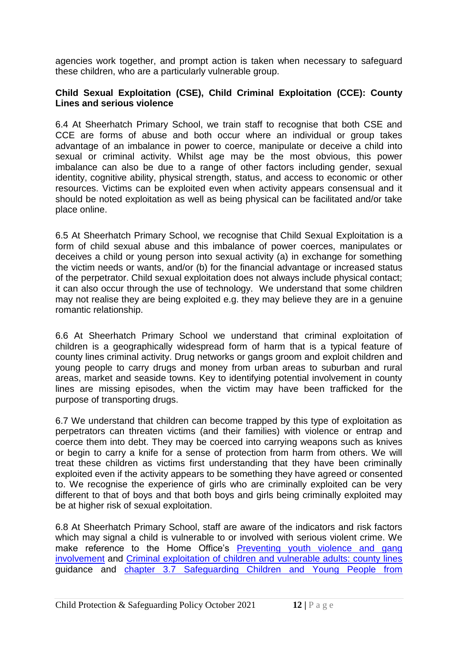agencies work together, and prompt action is taken when necessary to safeguard these children, who are a particularly vulnerable group.

# **Child Sexual Exploitation (CSE), Child Criminal Exploitation (CCE): County Lines and serious violence**

6.4 At Sheerhatch Primary School, we train staff to recognise that both CSE and CCE are forms of abuse and both occur where an individual or group takes advantage of an imbalance in power to coerce, manipulate or deceive a child into sexual or criminal activity. Whilst age may be the most obvious, this power imbalance can also be due to a range of other factors including gender, sexual identity, cognitive ability, physical strength, status, and access to economic or other resources. Victims can be exploited even when activity appears consensual and it should be noted exploitation as well as being physical can be facilitated and/or take place online.

6.5 At Sheerhatch Primary School, we recognise that Child Sexual Exploitation is a form of child sexual abuse and this imbalance of power coerces, manipulates or deceives a child or young person into sexual activity (a) in exchange for something the victim needs or wants, and/or (b) for the financial advantage or increased status of the perpetrator. Child sexual exploitation does not always include physical contact; it can also occur through the use of technology. We understand that some children may not realise they are being exploited e.g. they may believe they are in a genuine romantic relationship.

6.6 At Sheerhatch Primary School we understand that criminal exploitation of children is a geographically widespread form of harm that is a typical feature of county lines criminal activity. Drug networks or gangs groom and exploit children and young people to carry drugs and money from urban areas to suburban and rural areas, market and seaside towns. Key to identifying potential involvement in county lines are missing episodes, when the victim may have been trafficked for the purpose of transporting drugs.

6.7 We understand that children can become trapped by this type of exploitation as perpetrators can threaten victims (and their families) with violence or entrap and coerce them into debt. They may be coerced into carrying weapons such as knives or begin to carry a knife for a sense of protection from harm from others. We will treat these children as victims first understanding that they have been criminally exploited even if the activity appears to be something they have agreed or consented to. We recognise the experience of girls who are criminally exploited can be very different to that of boys and that both boys and girls being criminally exploited may be at higher risk of sexual exploitation.

6.8 At Sheerhatch Primary School, staff are aware of the indicators and risk factors which may signal a child is vulnerable to or involved with serious violent crime. We make reference to the Home Office's [Preventing youth violence and gang](https://www.gov.uk/government/publications/advice-to-schools-and-colleges-on-gangs-and-youth-violence)  [involvement](https://www.gov.uk/government/publications/advice-to-schools-and-colleges-on-gangs-and-youth-violence) and [Criminal exploitation of children and vulnerable adults: county lines](https://www.gov.uk/government/publications/criminal-exploitation-of-children-and-vulnerable-adults-county-lines) guidance and [chapter 3.7 Safeguarding Children and Young People from](https://bedfordscb.proceduresonline.com/contents.html)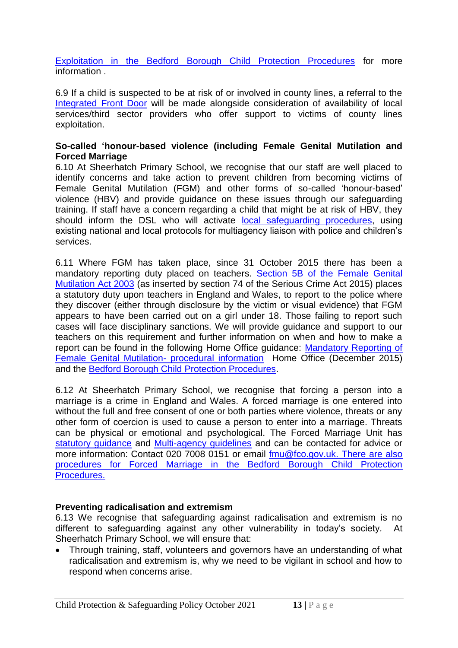[Exploitation in the Bedford Borough Child Protection Procedures](https://bedfordscb.proceduresonline.com/contents.html) for more information .

6.9 If a child is suspected to be at risk of or involved in county lines, a referral to the [Integrated Front Door](https://www.bedford.gov.uk/social-care-health-and-community/children-young-people/child-protection/if-you-are-concerned/) will be made alongside consideration of availability of local services/third sector providers who offer support to victims of county lines exploitation.

### **So-called 'honour-based violence (including Female Genital Mutilation and Forced Marriage**

6.10 At Sheerhatch Primary School, we recognise that our staff are well placed to identify concerns and take action to prevent children from becoming victims of Female Genital Mutilation (FGM) and other forms of so-called 'honour-based' violence (HBV) and provide guidance on these issues through our safeguarding training. If staff have a concern regarding a child that might be at risk of HBV, they should inform the DSL who will activate [local safeguarding procedures,](https://bedfordscb.proceduresonline.com/p_hon_bas_abuse.html) using existing national and local protocols for multiagency liaison with police and children's services.

6.11 Where FGM has taken place, since 31 October 2015 there has been a mandatory reporting duty placed on teachers. [Section 5B of the Female Genital](http://www.legislation.gov.uk/ukpga/2003/31/section/5B)  [Mutilation Act 2003](http://www.legislation.gov.uk/ukpga/2003/31/section/5B) (as inserted by section 74 of the Serious Crime Act 2015) places a statutory duty upon teachers in England and Wales, to report to the police where they discover (either through disclosure by the victim or visual evidence) that FGM appears to have been carried out on a girl under 18. Those failing to report such cases will face disciplinary sanctions. We will provide guidance and support to our teachers on this requirement and further information on when and how to make a report can be found in the following Home Office guidance: [Mandatory Reporting of](https://www.gov.uk/government/publications/mandatory-reporting-of-female-genital-mutilation-procedural-information)  [Female Genital Mutilation-](https://www.gov.uk/government/publications/mandatory-reporting-of-female-genital-mutilation-procedural-information) procedural information Home Office (December 2015) and the [Bedford Borough Child Protection Procedures.](https://bedfordscb.proceduresonline.com/p_fgm.html)

6.12 At Sheerhatch Primary School, we recognise that forcing a person into a marriage is a crime in England and Wales. A forced marriage is one entered into without the full and free consent of one or both parties where violence, threats or any other form of coercion is used to cause a person to enter into a marriage. Threats can be physical or emotional and psychological. The Forced Marriage Unit has [statutory guidance](https://www.gov.uk/guidance/forced-marriage) and [Multi-agency guidelines](https://assets.publishing.service.gov.uk/government/uploads/system/uploads/attachment_data/file/322307/HMG_MULTI_AGENCY_PRACTICE_GUIDELINES_v1_180614_FINAL.pdf) and can be contacted for advice or more information: Contact 020 7008 0151 or email [fmu@fco.gov.uk.](mailto:fmu@fco.gov.uk) There are also procedures for [Forced Marriage in the Bedford Borough Child Protection](https://bedfordscb.proceduresonline.com/pr_multi_age_force_marry.html)  [Procedures.](https://bedfordscb.proceduresonline.com/pr_multi_age_force_marry.html)

# **Preventing radicalisation and extremism**

6.13 We recognise that safeguarding against radicalisation and extremism is no different to safeguarding against any other vulnerability in today's society*.* At Sheerhatch Primary School, we will ensure that:

• Through training, staff, volunteers and governors have an understanding of what radicalisation and extremism is, why we need to be vigilant in school and how to respond when concerns arise.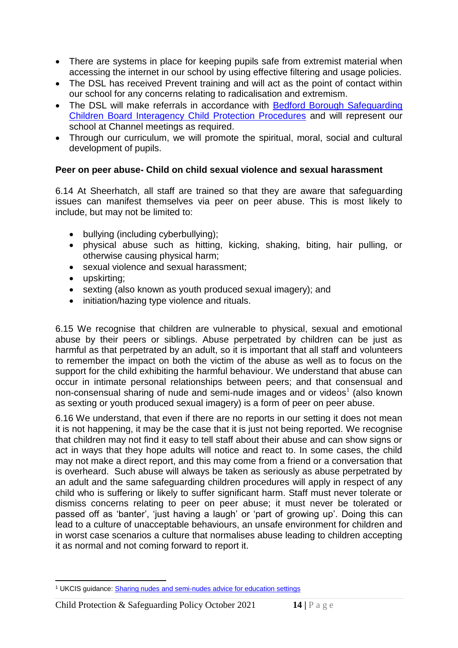- There are systems in place for keeping pupils safe from extremist material when accessing the internet in our school by using effective filtering and usage policies.
- The DSL has received Prevent training and will act as the point of contact within our school for any concerns relating to radicalisation and extremism.
- The DSL will make referrals in accordance with Bedford Borough Safeguarding [Children Board Interagency Child Protection Procedures](https://bedfordscb.proceduresonline.com/) and will represent our school at Channel meetings as required.
- Through our curriculum, we will promote the spiritual, moral, social and cultural development of pupils.

# **Peer on peer abuse- Child on child sexual violence and sexual harassment**

6.14 At Sheerhatch, all staff are trained so that they are aware that safeguarding issues can manifest themselves via peer on peer abuse. This is most likely to include, but may not be limited to:

- bullying (including cyberbullying);
- physical abuse such as hitting, kicking, shaking, biting, hair pulling, or otherwise causing physical harm;
- sexual violence and sexual harassment;
- upskirting;

1

- sexting (also known as youth produced sexual imagery); and
- initiation/hazing type violence and rituals.

6.15 We recognise that children are vulnerable to physical, sexual and emotional abuse by their peers or siblings. Abuse perpetrated by children can be just as harmful as that perpetrated by an adult, so it is important that all staff and volunteers to remember the impact on both the victim of the abuse as well as to focus on the support for the child exhibiting the harmful behaviour. We understand that abuse can occur in intimate personal relationships between peers; and that consensual and non-consensual sharing of nude and semi-nude images and or videos $<sup>1</sup>$  (also known</sup> as sexting or youth produced sexual imagery) is a form of peer on peer abuse.

6.16 We understand, that even if there are no reports in our setting it does not mean it is not happening, it may be the case that it is just not being reported. We recognise that children may not find it easy to tell staff about their abuse and can show signs or act in ways that they hope adults will notice and react to. In some cases, the child may not make a direct report, and this may come from a friend or a conversation that is overheard. Such abuse will always be taken as seriously as abuse perpetrated by an adult and the same safeguarding children procedures will apply in respect of any child who is suffering or likely to suffer significant harm. Staff must never tolerate or dismiss concerns relating to peer on peer abuse; it must never be tolerated or passed off as 'banter', 'just having a laugh' or 'part of growing up'. Doing this can lead to a culture of unacceptable behaviours, an unsafe environment for children and in worst case scenarios a culture that normalises abuse leading to children accepting it as normal and not coming forward to report it.

<sup>1</sup> UKCIS guidance: [Sharing nudes and semi-nudes advice for education settings](https://www.gov.uk/government/publications/sharing-nudes-and-semi-nudes-advice-for-education-settings-working-with-children-and-young-people/sharing-nudes-and-semi-nudes-how-to-respond-to-an-incident-overview)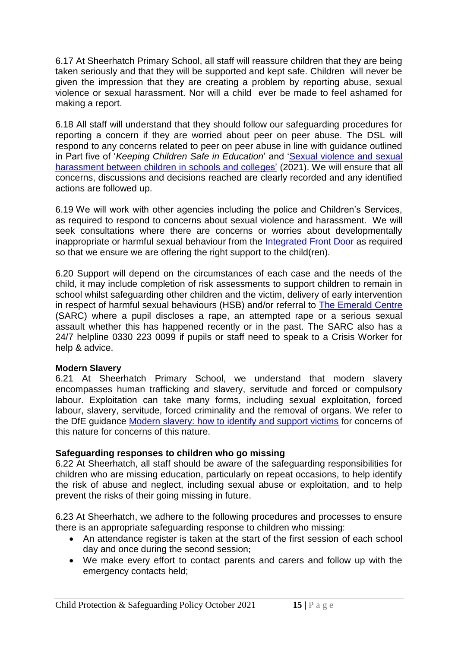6.17 At Sheerhatch Primary School, all staff will reassure children that they are being taken seriously and that they will be supported and kept safe. Children will never be given the impression that they are creating a problem by reporting abuse, sexual violence or sexual harassment. Nor will a child ever be made to feel ashamed for making a report.

6.18 All staff will understand that they should follow our safeguarding procedures for reporting a concern if they are worried about peer on peer abuse. The DSL will respond to any concerns related to peer on peer abuse in line with guidance outlined in Part five of '*Keeping Children Safe in Education*' and ['Sexual violence and sexual](https://www.gov.uk/government/uploads/system/uploads/attachment_data/file/719902/Sexual_violence_and_sexual_harassment_between_children_in_schools_and_colleges.pdf)  [harassment between children in schools and colleges'](https://www.gov.uk/government/uploads/system/uploads/attachment_data/file/719902/Sexual_violence_and_sexual_harassment_between_children_in_schools_and_colleges.pdf) (2021). We will ensure that all concerns, discussions and decisions reached are clearly recorded and any identified actions are followed up.

6.19 We will work with other agencies including the police and Children's Services, as required to respond to concerns about sexual violence and harassment. We will seek consultations where there are concerns or worries about developmentally inappropriate or harmful sexual behaviour from the [Integrated Front Door](https://www.bedford.gov.uk/social-care-health-and-community/children-young-people/child-protection/if-you-are-concerned/) as required so that we ensure we are offering the right support to the child(ren).

6.20 Support will depend on the circumstances of each case and the needs of the child, it may include completion of risk assessments to support children to remain in school whilst safeguarding other children and the victim, delivery of early intervention in respect of harmful sexual behaviours (HSB) and/or referral to [The Emerald Centre](https://www.emeraldcentre.org/) (SARC) where a pupil discloses a rape, an attempted rape or a serious sexual assault whether this has happened recently or in the past. The SARC also has a 24/7 helpline 0330 223 0099 if pupils or staff need to speak to a Crisis Worker for help & advice.

### **Modern Slavery**

6.21 At Sheerhatch Primary School, we understand that modern slavery encompasses human trafficking and slavery, servitude and forced or compulsory labour. Exploitation can take many forms, including sexual exploitation, forced labour, slavery, servitude, forced criminality and the removal of organs. We refer to the DfE guidance [Modern slavery: how to identify and support victims](https://www.gov.uk/government/publications/modern-slavery-how-to-identify-and-support-victims) for concerns of this nature for concerns of this nature.

# **Safeguarding responses to children who go missing**

6.22 At Sheerhatch, all staff should be aware of the safeguarding responsibilities for children who are missing education, particularly on repeat occasions, to help identify the risk of abuse and neglect, including sexual abuse or exploitation, and to help prevent the risks of their going missing in future.

6.23 At Sheerhatch, we adhere to the following procedures and processes to ensure there is an appropriate safeguarding response to children who missing:

- An attendance register is taken at the start of the first session of each school day and once during the second session;
- We make every effort to contact parents and carers and follow up with the emergency contacts held;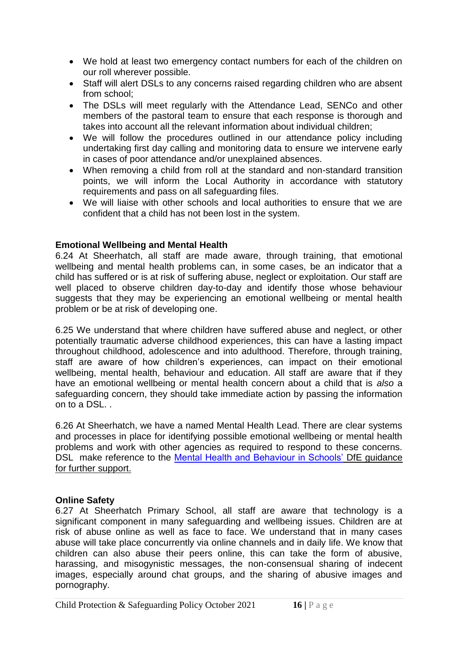- We hold at least two emergency contact numbers for each of the children on our roll wherever possible.
- Staff will alert DSLs to any concerns raised regarding children who are absent from school;
- The DSLs will meet regularly with the Attendance Lead, SENCo and other members of the pastoral team to ensure that each response is thorough and takes into account all the relevant information about individual children;
- We will follow the procedures outlined in our attendance policy including undertaking first day calling and monitoring data to ensure we intervene early in cases of poor attendance and/or unexplained absences.
- When removing a child from roll at the standard and non-standard transition points, we will inform the Local Authority in accordance with statutory requirements and pass on all safeguarding files.
- We will liaise with other schools and local authorities to ensure that we are confident that a child has not been lost in the system.

# **Emotional Wellbeing and Mental Health**

6.24 At Sheerhatch, all staff are made aware, through training, that emotional wellbeing and mental health problems can, in some cases, be an indicator that a child has suffered or is at risk of suffering abuse, neglect or exploitation. Our staff are well placed to observe children day-to-day and identify those whose behaviour suggests that they may be experiencing an emotional wellbeing or mental health problem or be at risk of developing one.

6.25 We understand that where children have suffered abuse and neglect, or other potentially traumatic adverse childhood experiences, this can have a lasting impact throughout childhood, adolescence and into adulthood. Therefore, through training, staff are aware of how children's experiences, can impact on their emotional wellbeing, mental health, behaviour and education. All staff are aware that if they have an emotional wellbeing or mental health concern about a child that is *also* a safeguarding concern, they should take immediate action by passing the information on to a DSL. .

6.26 At Sheerhatch, we have a named Mental Health Lead. There are clear systems and processes in place for identifying possible emotional wellbeing or mental health problems and work with other agencies as required to respond to these concerns. DSL make reference to the [Mental Health and Behaviour in Schools'](https://www.gov.uk/government/publications/mental-health-and-behaviour-in-schools--2) DfE guidance for further support.

# **Online Safety**

6.27 At Sheerhatch Primary School, all staff are aware that technology is a significant component in many safeguarding and wellbeing issues. Children are at risk of abuse online as well as face to face. We understand that in many cases abuse will take place concurrently via online channels and in daily life. We know that children can also abuse their peers online, this can take the form of abusive, harassing, and misogynistic messages, the non-consensual sharing of indecent images, especially around chat groups, and the sharing of abusive images and pornography.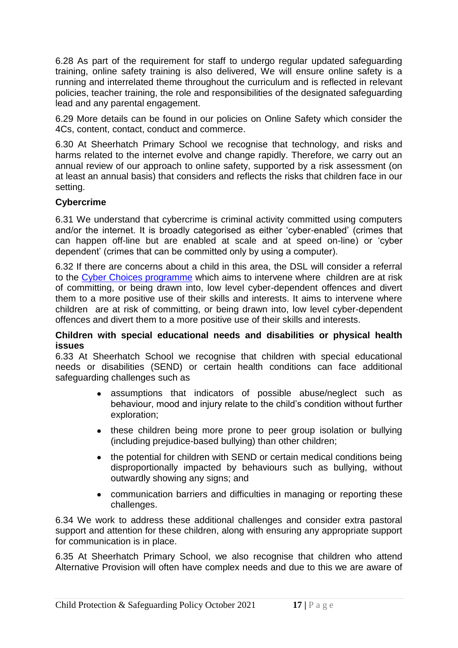6.28 As part of the requirement for staff to undergo regular updated safeguarding training, online safety training is also delivered, We will ensure online safety is a running and interrelated theme throughout the curriculum and is reflected in relevant policies, teacher training, the role and responsibilities of the designated safeguarding lead and any parental engagement.

6.29 More details can be found in our policies on Online Safety which consider the 4Cs, content, contact, conduct and commerce.

6.30 At Sheerhatch Primary School we recognise that technology, and risks and harms related to the internet evolve and change rapidly. Therefore, we carry out an annual review of our approach to online safety, supported by a risk assessment (on at least an annual basis) that considers and reflects the risks that children face in our setting.

# **Cybercrime**

6.31 We understand that cybercrime is criminal activity committed using computers and/or the internet. It is broadly categorised as either 'cyber-enabled' (crimes that can happen off-line but are enabled at scale and at speed on-line) or 'cyber dependent' (crimes that can be committed only by using a computer).

6.32 If there are concerns about a child in this area, the DSL will consider a referral to the [Cyber Choices programme](https://nationalcrimeagency.gov.uk/what-we-do/crime-threats/cyber-crime/cyberchoices) which aims to intervene where children are at risk of committing, or being drawn into, low level cyber-dependent offences and divert them to a more positive use of their skills and interests. It aims to intervene where children are at risk of committing, or being drawn into, low level cyber-dependent offences and divert them to a more positive use of their skills and interests.

### **Children with special educational needs and disabilities or physical health issues**

6.33 At Sheerhatch School we recognise that children with special educational needs or disabilities (SEND) or certain health conditions can face additional safeguarding challenges such as

- assumptions that indicators of possible abuse/neglect such as behaviour, mood and injury relate to the child's condition without further exploration;
- these children being more prone to peer group isolation or bullying (including prejudice-based bullying) than other children;
- the potential for children with SEND or certain medical conditions being disproportionally impacted by behaviours such as bullying, without outwardly showing any signs; and
- communication barriers and difficulties in managing or reporting these challenges.

6.34 We work to address these additional challenges and consider extra pastoral support and attention for these children, along with ensuring any appropriate support for communication is in place.

6.35 At Sheerhatch Primary School, we also recognise that children who attend Alternative Provision will often have complex needs and due to this we are aware of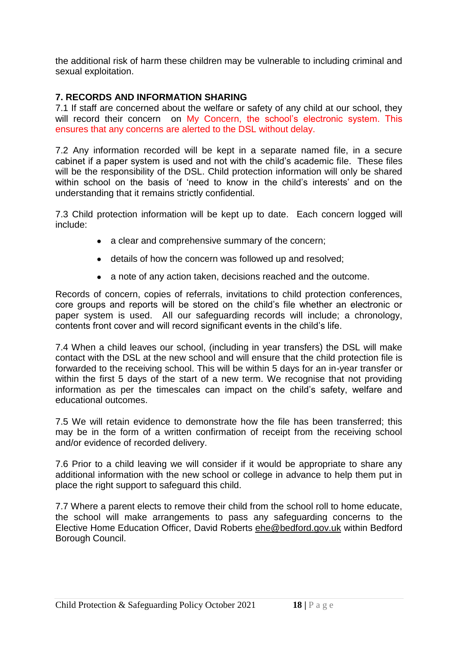the additional risk of harm these children may be vulnerable to including criminal and sexual exploitation.

# **7. RECORDS AND INFORMATION SHARING**

7.1 If staff are concerned about the welfare or safety of any child at our school, they will record their concern on My Concern, the school's electronic system. This ensures that any concerns are alerted to the DSL without delay.

7.2 Any information recorded will be kept in a separate named file, in a secure cabinet if a paper system is used and not with the child's academic file. These files will be the responsibility of the DSL. Child protection information will only be shared within school on the basis of 'need to know in the child's interests' and on the understanding that it remains strictly confidential.

7.3 Child protection information will be kept up to date. Each concern logged will include:

- a clear and comprehensive summary of the concern;
- details of how the concern was followed up and resolved;
- a note of any action taken, decisions reached and the outcome.

Records of concern, copies of referrals, invitations to child protection conferences, core groups and reports will be stored on the child's file whether an electronic or paper system is used. All our safeguarding records will include; a chronology, contents front cover and will record significant events in the child's life.

7.4 When a child leaves our school, (including in year transfers) the DSL will make contact with the DSL at the new school and will ensure that the child protection file is forwarded to the receiving school. This will be within 5 days for an in-year transfer or within the first 5 days of the start of a new term. We recognise that not providing information as per the timescales can impact on the child's safety, welfare and educational outcomes.

7.5 We will retain evidence to demonstrate how the file has been transferred; this may be in the form of a written confirmation of receipt from the receiving school and/or evidence of recorded delivery.

7.6 Prior to a child leaving we will consider if it would be appropriate to share any additional information with the new school or college in advance to help them put in place the right support to safeguard this child.

7.7 Where a parent elects to remove their child from the school roll to home educate, the school will make arrangements to pass any safeguarding concerns to the Elective Home Education Officer, David Roberts [ehe@bedford.gov.uk](mailto:ehe@bedford.gov.uk) within Bedford Borough Council.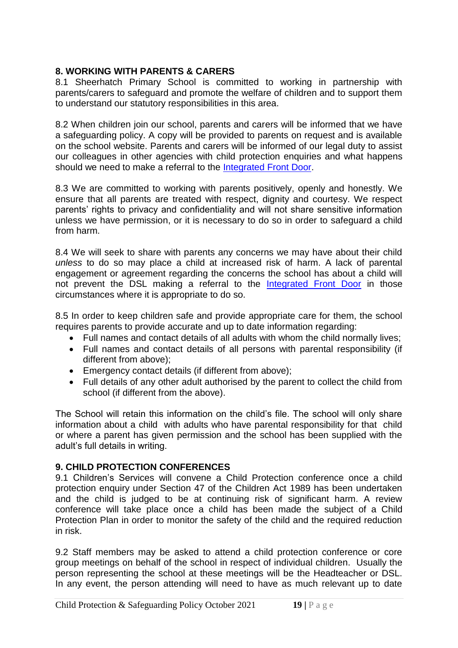# **8. WORKING WITH PARENTS & CARERS**

8.1 Sheerhatch Primary School is committed to working in partnership with parents/carers to safeguard and promote the welfare of children and to support them to understand our statutory responsibilities in this area.

8.2 When children join our school, parents and carers will be informed that we have a safeguarding policy. A copy will be provided to parents on request and is available on the school website. Parents and carers will be informed of our legal duty to assist our colleagues in other agencies with child protection enquiries and what happens should we need to make a referral to the [Integrated Front Door.](https://www.bedford.gov.uk/social-care-health-and-community/children-young-people/child-protection/if-you-are-concerned/)

8.3 We are committed to working with parents positively, openly and honestly. We ensure that all parents are treated with respect, dignity and courtesy. We respect parents' rights to privacy and confidentiality and will not share sensitive information unless we have permission, or it is necessary to do so in order to safeguard a child from harm.

8.4 We will seek to share with parents any concerns we may have about their child *unless* to do so may place a child at increased risk of harm. A lack of parental engagement or agreement regarding the concerns the school has about a child will not prevent the DSL making a referral to the [Integrated Front Door](https://www.bedford.gov.uk/social-care-health-and-community/children-young-people/child-protection/if-you-are-concerned/) in those circumstances where it is appropriate to do so.

8.5 In order to keep children safe and provide appropriate care for them, the school requires parents to provide accurate and up to date information regarding:

- Full names and contact details of all adults with whom the child normally lives;
- Full names and contact details of all persons with parental responsibility (if different from above);
- Emergency contact details (if different from above);
- Full details of any other adult authorised by the parent to collect the child from school (if different from the above).

The School will retain this information on the child's file. The school will only share information about a child with adults who have parental responsibility for that child or where a parent has given permission and the school has been supplied with the adult's full details in writing.

# **9. CHILD PROTECTION CONFERENCES**

9.1 Children's Services will convene a Child Protection conference once a child protection enquiry under Section 47 of the Children Act 1989 has been undertaken and the child is judged to be at continuing risk of significant harm. A review conference will take place once a child has been made the subject of a Child Protection Plan in order to monitor the safety of the child and the required reduction in risk.

9.2 Staff members may be asked to attend a child protection conference or core group meetings on behalf of the school in respect of individual children. Usually the person representing the school at these meetings will be the Headteacher or DSL. In any event, the person attending will need to have as much relevant up to date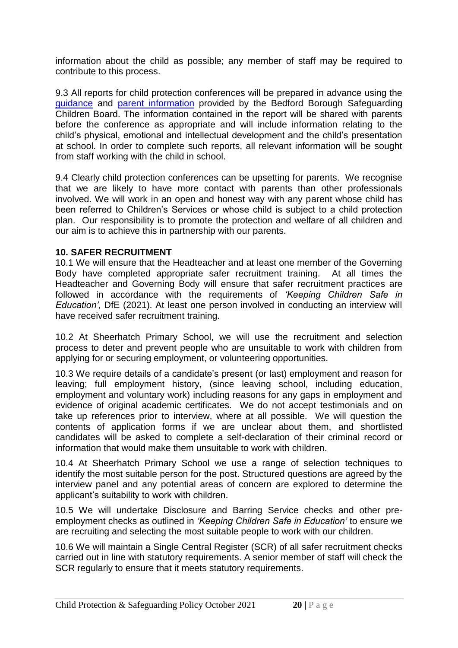information about the child as possible; any member of staff may be required to contribute to this process.

9.3 All reports for child protection conferences will be prepared in advance using the [guidance](https://bedfordscb.proceduresonline.com/p_bedford_cp_conf.html) and [parent information](https://www.bedford.gov.uk/social-care-health-and-community/children-young-people/) provided by the Bedford Borough Safeguarding Children Board. The information contained in the report will be shared with parents before the conference as appropriate and will include information relating to the child's physical, emotional and intellectual development and the child's presentation at school. In order to complete such reports, all relevant information will be sought from staff working with the child in school.

9.4 Clearly child protection conferences can be upsetting for parents. We recognise that we are likely to have more contact with parents than other professionals involved. We will work in an open and honest way with any parent whose child has been referred to Children's Services or whose child is subject to a child protection plan. Our responsibility is to promote the protection and welfare of all children and our aim is to achieve this in partnership with our parents.

# **10. SAFER RECRUITMENT**

10.1 We will ensure that the Headteacher and at least one member of the Governing Body have completed appropriate safer recruitment training. At all times the Headteacher and Governing Body will ensure that safer recruitment practices are followed in accordance with the requirements of *'Keeping Children Safe in Education'*, DfE (2021). At least one person involved in conducting an interview will have received safer recruitment training.

10.2 At Sheerhatch Primary School, we will use the recruitment and selection process to deter and prevent people who are unsuitable to work with children from applying for or securing employment, or volunteering opportunities.

10.3 We require details of a candidate's present (or last) employment and reason for leaving; full employment history, (since leaving school, including education, employment and voluntary work) including reasons for any gaps in employment and evidence of original academic certificates. We do not accept testimonials and on take up references prior to interview, where at all possible. We will question the contents of application forms if we are unclear about them, and shortlisted candidates will be asked to complete a self-declaration of their criminal record or information that would make them unsuitable to work with children.

10.4 At Sheerhatch Primary School we use a range of selection techniques to identify the most suitable person for the post. Structured questions are agreed by the interview panel and any potential areas of concern are explored to determine the applicant's suitability to work with children.

10.5 We will undertake Disclosure and Barring Service checks and other preemployment checks as outlined in *'Keeping Children Safe in Education'* to ensure we are recruiting and selecting the most suitable people to work with our children.

10.6 We will maintain a Single Central Register (SCR) of all safer recruitment checks carried out in line with statutory requirements. A senior member of staff will check the SCR regularly to ensure that it meets statutory requirements.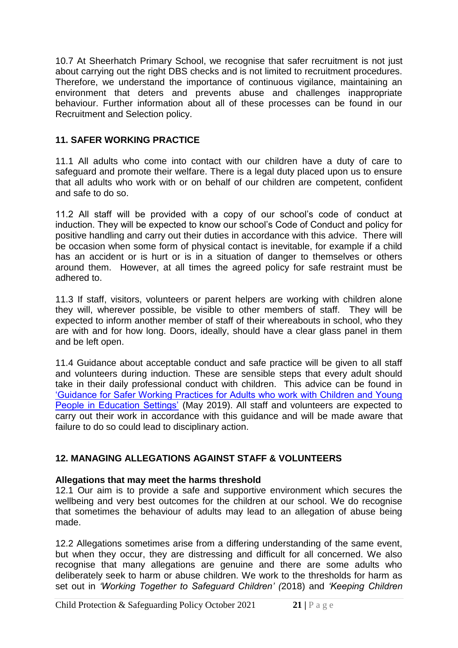10.7 At Sheerhatch Primary School, we recognise that safer recruitment is not just about carrying out the right DBS checks and is not limited to recruitment procedures. Therefore, we understand the importance of continuous vigilance, maintaining an environment that deters and prevents abuse and challenges inappropriate behaviour. Further information about all of these processes can be found in our Recruitment and Selection policy.

# **11. SAFER WORKING PRACTICE**

11.1 All adults who come into contact with our children have a duty of care to safeguard and promote their welfare. There is a legal duty placed upon us to ensure that all adults who work with or on behalf of our children are competent, confident and safe to do so.

11.2 All staff will be provided with a copy of our school's code of conduct at induction. They will be expected to know our school's Code of Conduct and policy for positive handling and carry out their duties in accordance with this advice. There will be occasion when some form of physical contact is inevitable, for example if a child has an accident or is hurt or is in a situation of danger to themselves or others around them. However, at all times the agreed policy for safe restraint must be adhered to.

11.3 If staff, visitors, volunteers or parent helpers are working with children alone they will, wherever possible, be visible to other members of staff. They will be expected to inform another member of staff of their whereabouts in school, who they are with and for how long. Doors, ideally, should have a clear glass panel in them and be left open.

11.4 Guidance about acceptable conduct and safe practice will be given to all staff and volunteers during induction. These are sensible steps that every adult should take in their daily professional conduct with children. This advice can be found in ['Guidance for Safer Working Practices for Adults who work with Children and Young](https://www.bedford.gov.uk/social-care-health-and-community/children-young-people/safeguarding-children-board/lado/)  [People in Education Settings'](https://www.bedford.gov.uk/social-care-health-and-community/children-young-people/safeguarding-children-board/lado/) (May 2019). All staff and volunteers are expected to carry out their work in accordance with this guidance and will be made aware that failure to do so could lead to disciplinary action.

# **12. MANAGING ALLEGATIONS AGAINST STAFF & VOLUNTEERS**

# **Allegations that may meet the harms threshold**

12.1 Our aim is to provide a safe and supportive environment which secures the wellbeing and very best outcomes for the children at our school. We do recognise that sometimes the behaviour of adults may lead to an allegation of abuse being made.

12.2 Allegations sometimes arise from a differing understanding of the same event, but when they occur, they are distressing and difficult for all concerned. We also recognise that many allegations are genuine and there are some adults who deliberately seek to harm or abuse children. We work to the thresholds for harm as set out in *'Working Together to Safeguard Children' (*2018) and *'Keeping Children*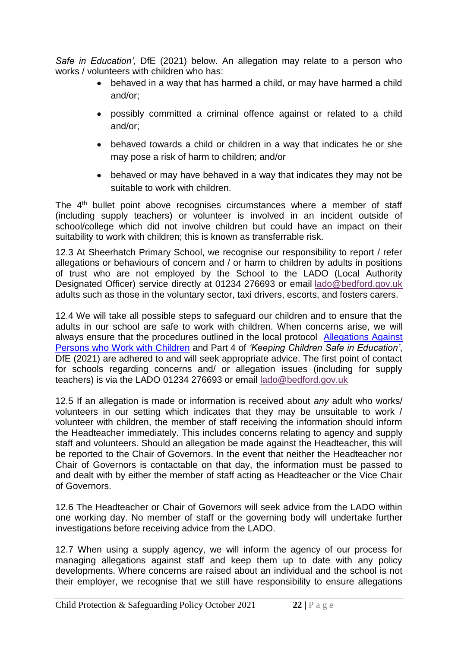*Safe in Education'*, DfE (2021) below. An allegation may relate to a person who works / volunteers with children who has:

- behaved in a way that has harmed a child, or may have harmed a child and/or;
- possibly committed a criminal offence against or related to a child and/or;
- behaved towards a child or children in a way that indicates he or she may pose a risk of harm to children; and/or
- behaved or may have behaved in a way that indicates they may not be suitable to work with children.

The 4<sup>th</sup> bullet point above recognises circumstances where a member of staff (including supply teachers) or volunteer is involved in an incident outside of school/college which did not involve children but could have an impact on their suitability to work with children; this is known as transferrable risk.

12.3 At Sheerhatch Primary School, we recognise our responsibility to report / refer allegations or behaviours of concern and / or harm to children by adults in positions of trust who are not employed by the School to the LADO (Local Authority Designated Officer) service directly at 01234 276693 or email [lado@bedford.gov.uk](mailto:lado@bedford.gov.uk) adults such as those in the voluntary sector, taxi drivers, escorts, and fosters carers.

12.4 We will take all possible steps to safeguard our children and to ensure that the adults in our school are safe to work with children. When concerns arise, we will always ensure that the procedures outlined in the local protocol [Allegations Against](https://www.bedford.gov.uk/social-care-health-and-community/children-young-people/safeguarding-children-board/lado/)  [Persons who Work with Children](https://www.bedford.gov.uk/social-care-health-and-community/children-young-people/safeguarding-children-board/lado/) and Part 4 of *'Keeping Children Safe in Education'*, DfE (2021) are adhered to and will seek appropriate advice. The first point of contact for schools regarding concerns and/ or allegation issues (including for supply teachers) is via the LADO 01234 276693 or email [lado@bedford.gov.uk](mailto:lado@bedford.gov.uk)

12.5 If an allegation is made or information is received about *any* adult who works/ volunteers in our setting which indicates that they may be unsuitable to work / volunteer with children, the member of staff receiving the information should inform the Headteacher immediately. This includes concerns relating to agency and supply staff and volunteers. Should an allegation be made against the Headteacher, this will be reported to the Chair of Governors. In the event that neither the Headteacher nor Chair of Governors is contactable on that day, the information must be passed to and dealt with by either the member of staff acting as Headteacher or the Vice Chair of Governors.

12.6 The Headteacher or Chair of Governors will seek advice from the LADO within one working day. No member of staff or the governing body will undertake further investigations before receiving advice from the LADO.

12.7 When using a supply agency, we will inform the agency of our process for managing allegations against staff and keep them up to date with any policy developments. Where concerns are raised about an individual and the school is not their employer, we recognise that we still have responsibility to ensure allegations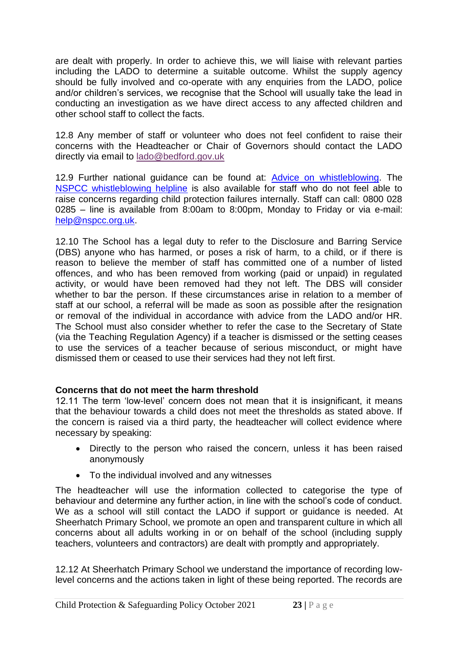are dealt with properly. In order to achieve this, we will liaise with relevant parties including the LADO to determine a suitable outcome. Whilst the supply agency should be fully involved and co-operate with any enquiries from the LADO, police and/or children's services, we recognise that the School will usually take the lead in conducting an investigation as we have direct access to any affected children and other school staff to collect the facts.

12.8 Any member of staff or volunteer who does not feel confident to raise their concerns with the Headteacher or Chair of Governors should contact the LADO directly via email to [lado@bedford.gov.uk](mailto:lado@bedford.gov.uk)

12.9 Further national guidance can be found at: **Advice on whistleblowing**. The [NSPCC whistleblowing helpline](https://www.gov.uk/government/news/home-office-launches-child-abuse-whistleblowing-helpline) is also available for staff who do not feel able to raise concerns regarding child protection failures internally. Staff can call: 0800 028 0285 – line is available from 8:00am to 8:00pm, Monday to Friday or via e-mail: [help@nspcc.org.uk.](mailto:help@nspcc.org.uk)

12.10 The School has a legal duty to refer to the Disclosure and Barring Service (DBS) anyone who has harmed, or poses a risk of harm, to a child, or if there is reason to believe the member of staff has committed one of a number of listed offences, and who has been removed from working (paid or unpaid) in regulated activity, or would have been removed had they not left. The DBS will consider whether to bar the person. If these circumstances arise in relation to a member of staff at our school, a referral will be made as soon as possible after the resignation or removal of the individual in accordance with advice from the LADO and/or HR. The School must also consider whether to refer the case to the Secretary of State (via the Teaching Regulation Agency) if a teacher is dismissed or the setting ceases to use the services of a teacher because of serious misconduct, or might have dismissed them or ceased to use their services had they not left first.

# **Concerns that do not meet the harm threshold**

12.11 The term 'low-level' concern does not mean that it is insignificant, it means that the behaviour towards a child does not meet the thresholds as stated above. If the concern is raised via a third party, the headteacher will collect evidence where necessary by speaking:

- Directly to the person who raised the concern, unless it has been raised anonymously
- To the individual involved and any witnesses

The headteacher will use the information collected to categorise the type of behaviour and determine any further action, in line with the school's code of conduct. We as a school will still contact the LADO if support or guidance is needed. At Sheerhatch Primary School, we promote an open and transparent culture in which all concerns about all adults working in or on behalf of the school (including supply teachers, volunteers and contractors) are dealt with promptly and appropriately.

12.12 At Sheerhatch Primary School we understand the importance of recording lowlevel concerns and the actions taken in light of these being reported. The records are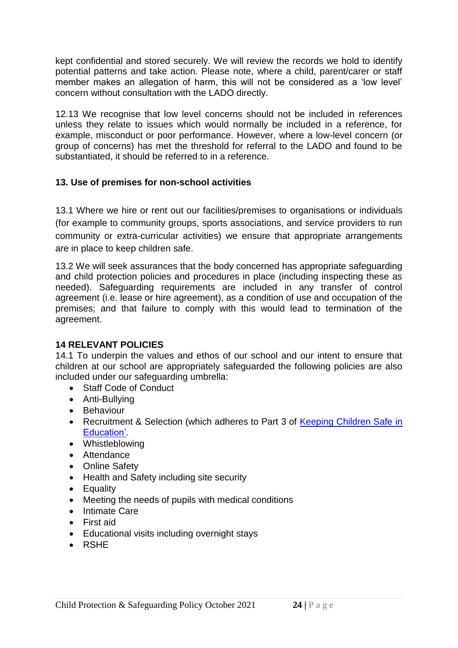kept confidential and stored securely. We will review the records we hold to identify potential patterns and take action. Please note, where a child, parent/carer or staff member makes an allegation of harm, this will not be considered as a 'low level' concern without consultation with the LADO directly.

12.13 We recognise that low level concerns should not be included in references unless they relate to issues which would normally be included in a reference, for example, misconduct or poor performance. However, where a low-level concern (or group of concerns) has met the threshold for referral to the LADO and found to be substantiated, it should be referred to in a reference.

# **13. Use of premises for non-school activities**

13.1 Where we hire or rent out our facilities/premises to organisations or individuals (for example to community groups, sports associations, and service providers to run community or extra-curricular activities) we ensure that appropriate arrangements are in place to keep children safe.

13.2 We will seek assurances that the body concerned has appropriate safeguarding and child protection policies and procedures in place (including inspecting these as needed). Safeguarding requirements are included in any transfer of control agreement (i.e. lease or hire agreement), as a condition of use and occupation of the premises; and that failure to comply with this would lead to termination of the agreement.

# **14 RELEVANT POLICIES**

14.1 To underpin the values and ethos of our school and our intent to ensure that children at our school are appropriately safeguarded the following policies are also included under our safeguarding umbrella:

- Staff Code of Conduct
- Anti-Bullying
- Behaviour
- Recruitment & Selection (which adheres to Part 3 of Keeping Children Safe in [Education'](https://www.gov.uk/government/publications/keeping-children-safe-in-education--2)*.*
- Whistleblowing
- Attendance
- Online Safety
- Health and Safety including site security
- Equality
- Meeting the needs of pupils with medical conditions
- Intimate Care
- First aid
- Educational visits including overnight stays
- RSHE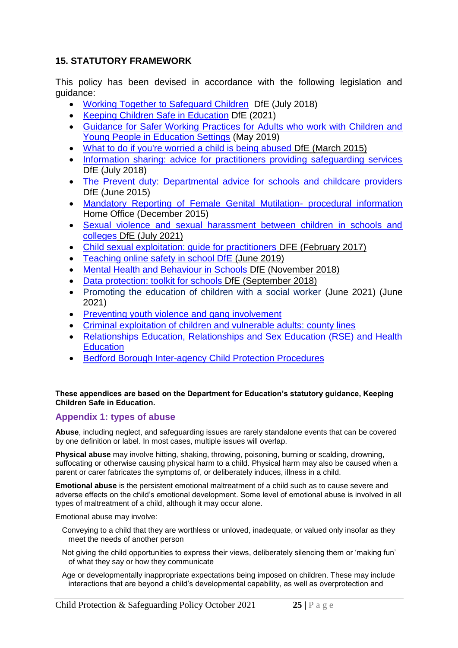# **15. STATUTORY FRAMEWORK**

This policy has been devised in accordance with the following legislation and guidance:

- [Working Together to Safeguard Children](https://www.gov.uk/government/publications/working-together-to-safeguard-children--2) DfE (July 2018)
- [Keeping Children Safe in Education](https://www.gov.uk/government/publications/keeping-children-safe-in-education--2) DfE (2021)
- [Guidance for Safer Working Practices for Adults who work with Children and](https://www.saferrecruitmentconsortium.org/GSWP%20Sept%202019.pdf)  [Young People in Education Settings](https://www.saferrecruitmentconsortium.org/GSWP%20Sept%202019.pdf) (May 2019)
- [What to do if you're worried a child is being abused](https://www.gov.uk/government/uploads/system/uploads/attachment_data/file/419604/What_to_do_if_you_re_worried_a_child_is_being_abused.pdf) DfE (March 2015)
- [Information sharing: advice for practitioners providing safeguarding services](https://www.gov.uk/government/uploads/system/uploads/attachment_data/file/721581/Information_sharing_advice_practitioners_safeguarding_services.pdf) DfE (July 2018[\)](https://www.gov.uk/government/uploads/system/uploads/attachment_data/file/419628/Information_sharing_advice_safeguarding_practitioners.pdf)
- [The Prevent duty: Departmental advice for schools and childcare providers](https://assets.publishing.service.gov.uk/government/uploads/system/uploads/attachment_data/file/439598/prevent-duty-departmental-advice-v6.pdf) DfE (June 2015)
- [Mandatory Reporting of Female Genital Mutilation-](https://www.gov.uk/government/publications/mandatory-reporting-of-female-genital-mutilation-procedural-information) procedural information Home Office (December 2015)
- [Sexual violence and sexual harassment between children in schools and](https://www.gov.uk/government/uploads/system/uploads/attachment_data/file/719902/Sexual_violence_and_sexual_harassment_between_children_in_schools_and_colleges.pdf)  colleges [DfE \(July 2021\)](https://www.gov.uk/government/uploads/system/uploads/attachment_data/file/719902/Sexual_violence_and_sexual_harassment_between_children_in_schools_and_colleges.pdf)
- [Child sexual exploitation: guide for practitioners](https://www.gov.uk/government/publications/child-sexual-exploitation-definition-and-guide-for-practitioners) DFE (February 2017)
- [Teaching online safety in school DfE](https://www.gov.uk/government/publications/teaching-online-safety-in-schools) (June 2019)
- [Mental Health and Behaviour in Schools](https://www.gov.uk/government/publications/mental-health-and-behaviour-in-schools--2) DfE (November 2018)
- [Data protection: toolkit for schools](https://www.gov.uk/government/publications/data-protection-toolkit-for-schools) DfE (September 2018)
- [Promoting the education of children with a social worker](https://www.gov.uk/government/publications/virtual-school-head-role-extension-to-children-with-a-social-worker) (June 2021) (June 2021)
- [Preventing youth violence and gang involvement](https://www.gov.uk/government/publications/advice-to-schools-and-colleges-on-gangs-and-youth-violence)
- [Criminal exploitation of children and vulnerable adults:](https://www.gov.uk/government/publications/criminal-exploitation-of-children-and-vulnerable-adults-county-lines) county lines
- [Relationships Education, Relationships and Sex Education \(RSE\) and Health](https://assets.publishing.service.gov.uk/government/uploads/system/uploads/attachment_data/file/908013/Relationships_Education__Relationships_and_Sex_Education__RSE__and_Health_Education.pdf)  **[Education](https://assets.publishing.service.gov.uk/government/uploads/system/uploads/attachment_data/file/908013/Relationships_Education__Relationships_and_Sex_Education__RSE__and_Health_Education.pdf)**
- [Bedford Borough Inter-agency Child Protection Procedures](https://bedfordscb.proceduresonline.com/index.html)

#### **These appendices are based on the Department for Education's statutory guidance, Keeping Children Safe in Education.**

# **Appendix 1: types of abuse**

**Abuse**, including neglect, and safeguarding issues are rarely standalone events that can be covered by one definition or label. In most cases, multiple issues will overlap.

**Physical abuse** may involve hitting, shaking, throwing, poisoning, burning or scalding, drowning, suffocating or otherwise causing physical harm to a child. Physical harm may also be caused when a parent or carer fabricates the symptoms of, or deliberately induces, illness in a child.

**Emotional abuse** is the persistent emotional maltreatment of a child such as to cause severe and adverse effects on the child's emotional development. Some level of emotional abuse is involved in all types of maltreatment of a child, although it may occur alone.

Emotional abuse may involve:

- Conveying to a child that they are worthless or unloved, inadequate, or valued only insofar as they meet the needs of another person
- Not giving the child opportunities to express their views, deliberately silencing them or 'making fun' of what they say or how they communicate
- Age or developmentally inappropriate expectations being imposed on children. These may include interactions that are beyond a child's developmental capability, as well as overprotection and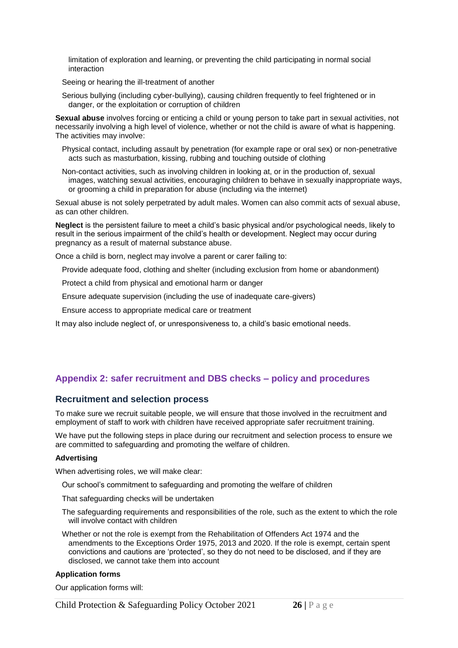limitation of exploration and learning, or preventing the child participating in normal social interaction

- Seeing or hearing the ill-treatment of another
- Serious bullying (including cyber-bullying), causing children frequently to feel frightened or in danger, or the exploitation or corruption of children

**Sexual abuse** involves forcing or enticing a child or young person to take part in sexual activities, not necessarily involving a high level of violence, whether or not the child is aware of what is happening. The activities may involve:

- Physical contact, including assault by penetration (for example rape or oral sex) or non-penetrative acts such as masturbation, kissing, rubbing and touching outside of clothing
- Non-contact activities, such as involving children in looking at, or in the production of, sexual images, watching sexual activities, encouraging children to behave in sexually inappropriate ways, or grooming a child in preparation for abuse (including via the internet)

Sexual abuse is not solely perpetrated by adult males. Women can also commit acts of sexual abuse, as can other children.

**Neglect** is the persistent failure to meet a child's basic physical and/or psychological needs, likely to result in the serious impairment of the child's health or development. Neglect may occur during pregnancy as a result of maternal substance abuse.

Once a child is born, neglect may involve a parent or carer failing to:

Provide adequate food, clothing and shelter (including exclusion from home or abandonment)

Protect a child from physical and emotional harm or danger

Ensure adequate supervision (including the use of inadequate care-givers)

Ensure access to appropriate medical care or treatment

It may also include neglect of, or unresponsiveness to, a child's basic emotional needs.

# **Appendix 2: safer recruitment and DBS checks – policy and procedures**

#### **Recruitment and selection process**

To make sure we recruit suitable people, we will ensure that those involved in the recruitment and employment of staff to work with children have received appropriate safer recruitment training.

We have put the following steps in place during our recruitment and selection process to ensure we are committed to safeguarding and promoting the welfare of children.

#### **Advertising**

When advertising roles, we will make clear:

- Our school's commitment to safeguarding and promoting the welfare of children
- That safeguarding checks will be undertaken
- The safeguarding requirements and responsibilities of the role, such as the extent to which the role will involve contact with children
- Whether or not the role is exempt from the Rehabilitation of Offenders Act 1974 and the amendments to the Exceptions Order 1975, 2013 and 2020. If the role is exempt, certain spent convictions and cautions are 'protected', so they do not need to be disclosed, and if they are disclosed, we cannot take them into account

#### **Application forms**

Our application forms will: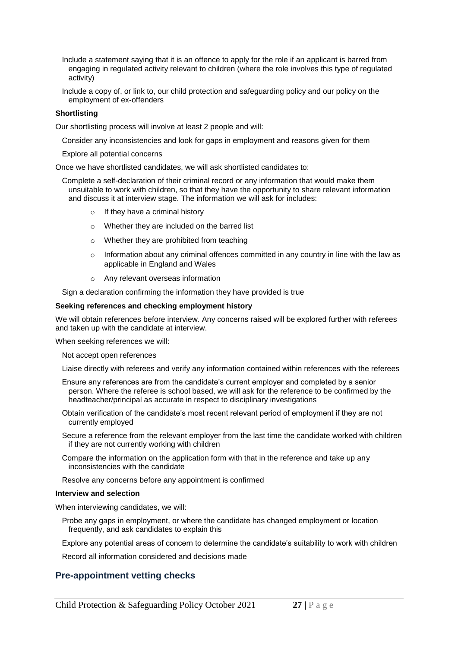- Include a statement saying that it is an offence to apply for the role if an applicant is barred from engaging in regulated activity relevant to children (where the role involves this type of regulated activity)
- Include a copy of, or link to, our child protection and safeguarding policy and our policy on the employment of ex-offenders

#### **Shortlisting**

Our shortlisting process will involve at least 2 people and will:

Consider any inconsistencies and look for gaps in employment and reasons given for them

Explore all potential concerns

Once we have shortlisted candidates, we will ask shortlisted candidates to:

- Complete a self-declaration of their criminal record or any information that would make them unsuitable to work with children, so that they have the opportunity to share relevant information and discuss it at interview stage. The information we will ask for includes:
	- $\circ$  If they have a criminal history
	- o Whether they are included on the barred list
	- o Whether they are prohibited from teaching
	- $\circ$  Information about any criminal offences committed in any country in line with the law as applicable in England and Wales
	- Any relevant overseas information

Sign a declaration confirming the information they have provided is true

#### **Seeking references and checking employment history**

We will obtain references before interview. Any concerns raised will be explored further with referees and taken up with the candidate at interview.

When seeking references we will:

Not accept open references

Liaise directly with referees and verify any information contained within references with the referees

- Ensure any references are from the candidate's current employer and completed by a senior person. Where the referee is school based, we will ask for the reference to be confirmed by the headteacher/principal as accurate in respect to disciplinary investigations
- Obtain verification of the candidate's most recent relevant period of employment if they are not currently employed
- Secure a reference from the relevant employer from the last time the candidate worked with children if they are not currently working with children
- Compare the information on the application form with that in the reference and take up any inconsistencies with the candidate

Resolve any concerns before any appointment is confirmed

#### **Interview and selection**

When interviewing candidates, we will:

Probe any gaps in employment, or where the candidate has changed employment or location frequently, and ask candidates to explain this

Explore any potential areas of concern to determine the candidate's suitability to work with children

Record all information considered and decisions made

### **Pre-appointment vetting checks**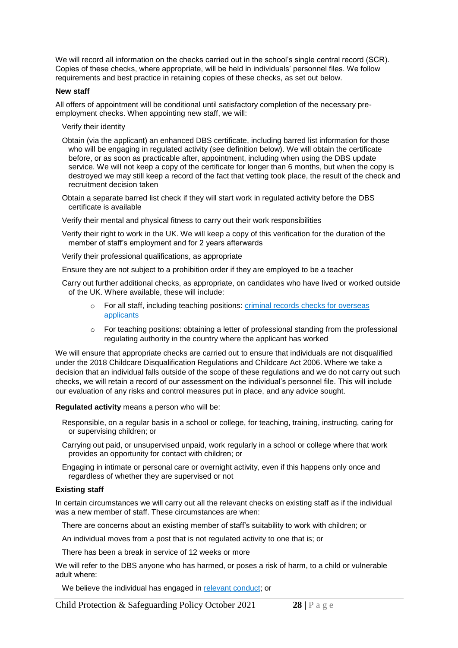We will record all information on the checks carried out in the school's single central record (SCR). Copies of these checks, where appropriate, will be held in individuals' personnel files. We follow requirements and best practice in retaining copies of these checks, as set out below.

#### **New staff**

All offers of appointment will be conditional until satisfactory completion of the necessary preemployment checks. When appointing new staff, we will:

- Verify their identity
- Obtain (via the applicant) an enhanced DBS certificate, including barred list information for those who will be engaging in regulated activity (see definition below). We will obtain the certificate before, or as soon as practicable after, appointment, including when using the DBS update service. We will not keep a copy of the certificate for longer than 6 months, but when the copy is destroyed we may still keep a record of the fact that vetting took place, the result of the check and recruitment decision taken
- Obtain a separate barred list check if they will start work in regulated activity before the DBS certificate is available

Verify their mental and physical fitness to carry out their work responsibilities

Verify their right to work in the UK. We will keep a copy of this verification for the duration of the member of staff's employment and for 2 years afterwards

Verify their professional qualifications, as appropriate

Ensure they are not subject to a prohibition order if they are employed to be a teacher

Carry out further additional checks, as appropriate, on candidates who have lived or worked outside of the UK. Where available, these will include:

- o For all staff, including teaching positions: [criminal records checks for overseas](https://www.gov.uk/government/publications/criminal-records-checks-for-overseas-applicants)  [applicants](https://www.gov.uk/government/publications/criminal-records-checks-for-overseas-applicants)
- $\circ$  For teaching positions: obtaining a letter of professional standing from the professional regulating authority in the country where the applicant has worked

We will ensure that appropriate checks are carried out to ensure that individuals are not disqualified under the 2018 Childcare Disqualification Regulations and Childcare Act 2006. Where we take a decision that an individual falls outside of the scope of these regulations and we do not carry out such checks, we will retain a record of our assessment on the individual's personnel file. This will include our evaluation of any risks and control measures put in place, and any advice sought.

**Regulated activity** means a person who will be:

- Responsible, on a regular basis in a school or college, for teaching, training, instructing, caring for or supervising children; or
- Carrying out paid, or unsupervised unpaid, work regularly in a school or college where that work provides an opportunity for contact with children; or
- Engaging in intimate or personal care or overnight activity, even if this happens only once and regardless of whether they are supervised or not

#### **Existing staff**

In certain circumstances we will carry out all the relevant checks on existing staff as if the individual was a new member of staff. These circumstances are when:

There are concerns about an existing member of staff's suitability to work with children; or

An individual moves from a post that is not regulated activity to one that is; or

There has been a break in service of 12 weeks or more

We will refer to the DBS anyone who has harmed, or poses a risk of harm, to a child or vulnerable adult where:

We believe the individual has engaged in [relevant conduct;](https://www.gov.uk/guidance/making-barring-referrals-to-the-dbs#relevant-conduct-in-relation-to-children) or

Child Protection & Safeguarding Policy October 2021 **28 |** P a g e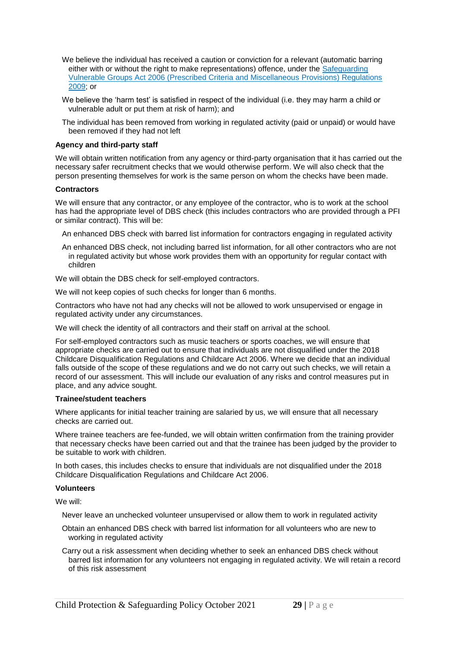- We believe the individual has received a caution or conviction for a relevant (automatic barring either with or without the right to make representations) offence, under the [Safeguarding](http://www.legislation.gov.uk/uksi/2009/37/contents/made)  [Vulnerable Groups Act 2006 \(Prescribed Criteria and Miscellaneous Provisions\) Regulations](http://www.legislation.gov.uk/uksi/2009/37/contents/made)  [2009;](http://www.legislation.gov.uk/uksi/2009/37/contents/made) or
- We believe the 'harm test' is satisfied in respect of the individual (i.e. they may harm a child or vulnerable adult or put them at risk of harm); and
- The individual has been removed from working in regulated activity (paid or unpaid) or would have been removed if they had not left

#### **Agency and third-party staff**

We will obtain written notification from any agency or third-party organisation that it has carried out the necessary safer recruitment checks that we would otherwise perform. We will also check that the person presenting themselves for work is the same person on whom the checks have been made.

#### **Contractors**

We will ensure that any contractor, or any employee of the contractor, who is to work at the school has had the appropriate level of DBS check (this includes contractors who are provided through a PFI or similar contract). This will be:

An enhanced DBS check with barred list information for contractors engaging in regulated activity

An enhanced DBS check, not including barred list information, for all other contractors who are not in regulated activity but whose work provides them with an opportunity for regular contact with children

We will obtain the DBS check for self-employed contractors.

We will not keep copies of such checks for longer than 6 months.

Contractors who have not had any checks will not be allowed to work unsupervised or engage in regulated activity under any circumstances.

We will check the identity of all contractors and their staff on arrival at the school.

For self-employed contractors such as music teachers or sports coaches, we will ensure that appropriate checks are carried out to ensure that individuals are not disqualified under the 2018 Childcare Disqualification Regulations and Childcare Act 2006. Where we decide that an individual falls outside of the scope of these regulations and we do not carry out such checks, we will retain a record of our assessment. This will include our evaluation of any risks and control measures put in place, and any advice sought.

#### **Trainee/student teachers**

Where applicants for initial teacher training are salaried by us, we will ensure that all necessary checks are carried out.

Where trainee teachers are fee-funded, we will obtain written confirmation from the training provider that necessary checks have been carried out and that the trainee has been judged by the provider to be suitable to work with children.

In both cases, this includes checks to ensure that individuals are not disqualified under the 2018 Childcare Disqualification Regulations and Childcare Act 2006.

#### **Volunteers**

We will:

Never leave an unchecked volunteer unsupervised or allow them to work in regulated activity

- Obtain an enhanced DBS check with barred list information for all volunteers who are new to working in regulated activity
- Carry out a risk assessment when deciding whether to seek an enhanced DBS check without barred list information for any volunteers not engaging in regulated activity. We will retain a record of this risk assessment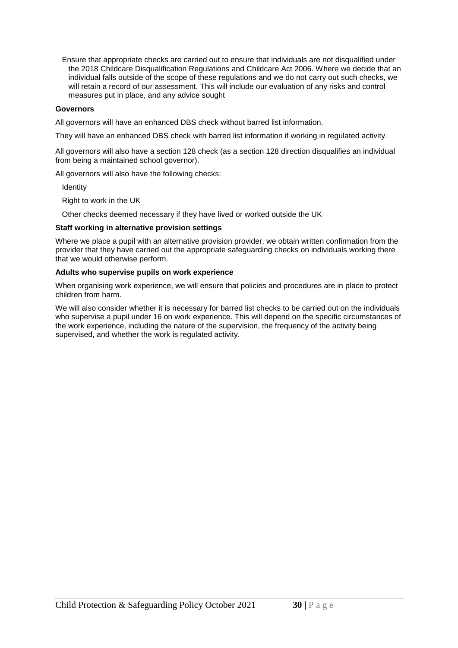Ensure that appropriate checks are carried out to ensure that individuals are not disqualified under the 2018 Childcare Disqualification Regulations and Childcare Act 2006. Where we decide that an individual falls outside of the scope of these regulations and we do not carry out such checks, we will retain a record of our assessment. This will include our evaluation of any risks and control measures put in place, and any advice sought

#### **Governors**

All governors will have an enhanced DBS check without barred list information.

They will have an enhanced DBS check with barred list information if working in regulated activity.

All governors will also have a section 128 check (as a section 128 direction disqualifies an individual from being a maintained school governor).

All governors will also have the following checks:

Identity

Right to work in the UK

Other checks deemed necessary if they have lived or worked outside the UK

#### **Staff working in alternative provision settings**

Where we place a pupil with an alternative provision provider, we obtain written confirmation from the provider that they have carried out the appropriate safeguarding checks on individuals working there that we would otherwise perform.

#### **Adults who supervise pupils on work experience**

When organising work experience, we will ensure that policies and procedures are in place to protect children from harm.

We will also consider whether it is necessary for barred list checks to be carried out on the individuals who supervise a pupil under 16 on work experience. This will depend on the specific circumstances of the work experience, including the nature of the supervision, the frequency of the activity being supervised, and whether the work is regulated activity.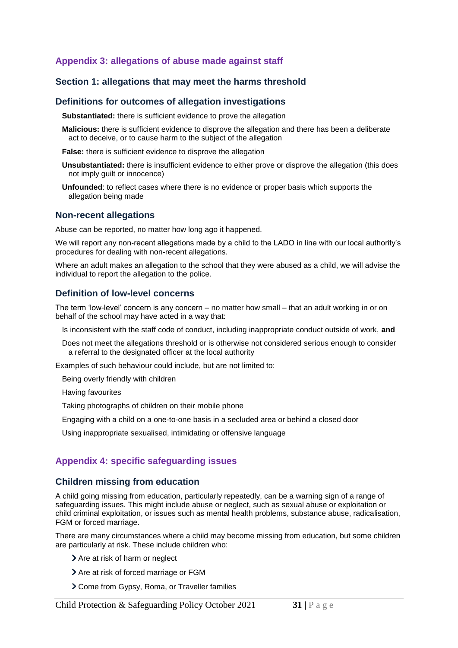# **Appendix 3: allegations of abuse made against staff**

### **Section 1: allegations that may meet the harms threshold**

### **Definitions for outcomes of allegation investigations**

**Substantiated:** there is sufficient evidence to prove the allegation

**Malicious:** there is sufficient evidence to disprove the allegation and there has been a deliberate act to deceive, or to cause harm to the subject of the allegation

**False:** there is sufficient evidence to disprove the allegation

- **Unsubstantiated:** there is insufficient evidence to either prove or disprove the allegation (this does not imply guilt or innocence)
- **Unfounded**: to reflect cases where there is no evidence or proper basis which supports the allegation being made

### **Non-recent allegations**

Abuse can be reported, no matter how long ago it happened.

We will report any non-recent allegations made by a child to the LADO in line with our local authority's procedures for dealing with non-recent allegations.

Where an adult makes an allegation to the school that they were abused as a child, we will advise the individual to report the allegation to the police.

### **Definition of low-level concerns**

The term 'low-level' concern is any concern – no matter how small – that an adult working in or on behalf of the school may have acted in a way that:

Is inconsistent with the staff code of conduct, including inappropriate conduct outside of work, **and**

Does not meet the allegations threshold or is otherwise not considered serious enough to consider a referral to the designated officer at the local authority

Examples of such behaviour could include, but are not limited to:

Being overly friendly with children

Having favourites

Taking photographs of children on their mobile phone

Engaging with a child on a one-to-one basis in a secluded area or behind a closed door

Using inappropriate sexualised, intimidating or offensive language

### **Appendix 4: specific safeguarding issues**

#### **Children missing from education**

A child going missing from education, particularly repeatedly, can be a warning sign of a range of safeguarding issues. This might include abuse or neglect, such as sexual abuse or exploitation or child criminal exploitation, or issues such as mental health problems, substance abuse, radicalisation, FGM or forced marriage.

There are many circumstances where a child may become missing from education, but some children are particularly at risk. These include children who:

- > Are at risk of harm or neglect
- > Are at risk of forced marriage or FGM
- Come from Gypsy, Roma, or Traveller families

Child Protection & Safeguarding Policy October 2021 **31 |** P a g e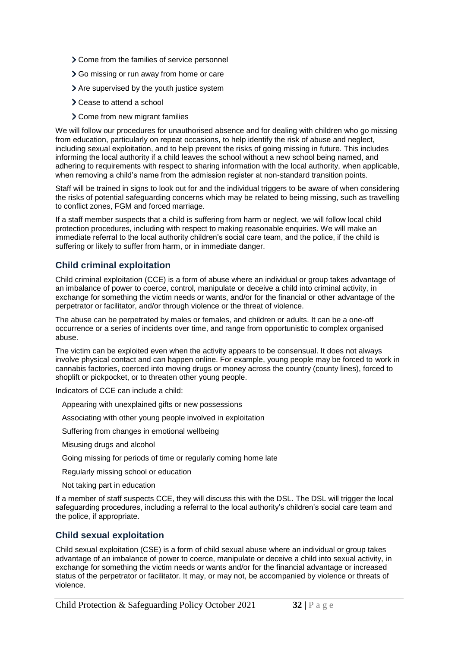- > Come from the families of service personnel
- Go missing or run away from home or care
- > Are supervised by the youth justice system
- > Cease to attend a school
- > Come from new migrant families

We will follow our procedures for unauthorised absence and for dealing with children who go missing from education, particularly on repeat occasions, to help identify the risk of abuse and neglect, including sexual exploitation, and to help prevent the risks of going missing in future. This includes informing the local authority if a child leaves the school without a new school being named, and adhering to requirements with respect to sharing information with the local authority, when applicable, when removing a child's name from the admission register at non-standard transition points.

Staff will be trained in signs to look out for and the individual triggers to be aware of when considering the risks of potential safeguarding concerns which may be related to being missing, such as travelling to conflict zones, FGM and forced marriage.

If a staff member suspects that a child is suffering from harm or neglect, we will follow local child protection procedures, including with respect to making reasonable enquiries. We will make an immediate referral to the local authority children's social care team, and the police, if the child is suffering or likely to suffer from harm, or in immediate danger.

# **Child criminal exploitation**

Child criminal exploitation (CCE) is a form of abuse where an individual or group takes advantage of an imbalance of power to coerce, control, manipulate or deceive a child into criminal activity, in exchange for something the victim needs or wants, and/or for the financial or other advantage of the perpetrator or facilitator, and/or through violence or the threat of violence.

The abuse can be perpetrated by males or females, and children or adults. It can be a one-off occurrence or a series of incidents over time, and range from opportunistic to complex organised abuse.

The victim can be exploited even when the activity appears to be consensual. It does not always involve physical contact and can happen online. For example, young people may be forced to work in cannabis factories, coerced into moving drugs or money across the country (county lines), forced to shoplift or pickpocket, or to threaten other young people.

Indicators of CCE can include a child:

- Appearing with unexplained gifts or new possessions
- Associating with other young people involved in exploitation
- Suffering from changes in emotional wellbeing
- Misusing drugs and alcohol
- Going missing for periods of time or regularly coming home late
- Regularly missing school or education
- Not taking part in education

If a member of staff suspects CCE, they will discuss this with the DSL. The DSL will trigger the local safeguarding procedures, including a referral to the local authority's children's social care team and the police, if appropriate.

### **Child sexual exploitation**

Child sexual exploitation (CSE) is a form of child sexual abuse where an individual or group takes advantage of an imbalance of power to coerce, manipulate or deceive a child into sexual activity, in exchange for something the victim needs or wants and/or for the financial advantage or increased status of the perpetrator or facilitator. It may, or may not, be accompanied by violence or threats of violence.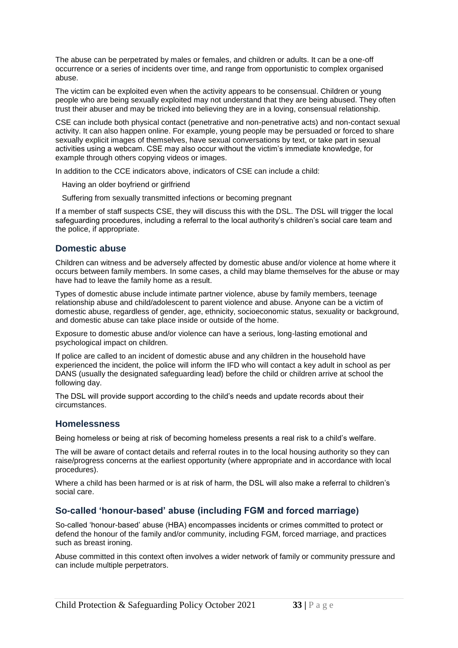The abuse can be perpetrated by males or females, and children or adults. It can be a one-off occurrence or a series of incidents over time, and range from opportunistic to complex organised abuse.

The victim can be exploited even when the activity appears to be consensual. Children or young people who are being sexually exploited may not understand that they are being abused. They often trust their abuser and may be tricked into believing they are in a loving, consensual relationship.

CSE can include both physical contact (penetrative and non-penetrative acts) and non-contact sexual activity. It can also happen online. For example, young people may be persuaded or forced to share sexually explicit images of themselves, have sexual conversations by text, or take part in sexual activities using a webcam. CSE may also occur without the victim's immediate knowledge, for example through others copying videos or images.

In addition to the CCE indicators above, indicators of CSE can include a child:

Having an older boyfriend or girlfriend

Suffering from sexually transmitted infections or becoming pregnant

If a member of staff suspects CSE, they will discuss this with the DSL. The DSL will trigger the local safeguarding procedures, including a referral to the local authority's children's social care team and the police, if appropriate.

### **Domestic abuse**

Children can witness and be adversely affected by domestic abuse and/or violence at home where it occurs between family members. In some cases, a child may blame themselves for the abuse or may have had to leave the family home as a result.

Types of domestic abuse include intimate partner violence, abuse by family members, teenage relationship abuse and child/adolescent to parent violence and abuse. Anyone can be a victim of domestic abuse, regardless of gender, age, ethnicity, socioeconomic status, sexuality or background, and domestic abuse can take place inside or outside of the home.

Exposure to domestic abuse and/or violence can have a serious, long-lasting emotional and psychological impact on children.

If police are called to an incident of domestic abuse and any children in the household have experienced the incident, the police will inform the IFD who will contact a key adult in school as per DANS (usually the designated safeguarding lead) before the child or children arrive at school the following day.

The DSL will provide support according to the child's needs and update records about their circumstances.

#### **Homelessness**

Being homeless or being at risk of becoming homeless presents a real risk to a child's welfare.

The will be aware of contact details and referral routes in to the local housing authority so they can raise/progress concerns at the earliest opportunity (where appropriate and in accordance with local procedures).

Where a child has been harmed or is at risk of harm, the DSL will also make a referral to children's social care.

### **So-called 'honour-based' abuse (including FGM and forced marriage)**

So-called 'honour-based' abuse (HBA) encompasses incidents or crimes committed to protect or defend the honour of the family and/or community, including FGM, forced marriage, and practices such as breast ironing.

Abuse committed in this context often involves a wider network of family or community pressure and can include multiple perpetrators.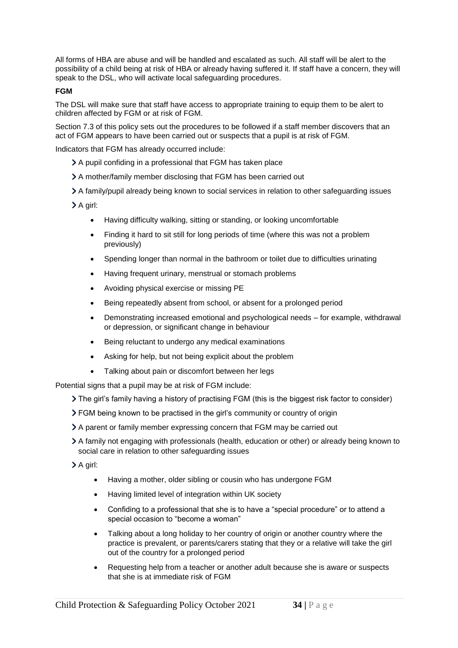All forms of HBA are abuse and will be handled and escalated as such. All staff will be alert to the possibility of a child being at risk of HBA or already having suffered it. If staff have a concern, they will speak to the DSL, who will activate local safeguarding procedures.

#### **FGM**

The DSL will make sure that staff have access to appropriate training to equip them to be alert to children affected by FGM or at risk of FGM.

Section 7.3 of this policy sets out the procedures to be followed if a staff member discovers that an act of FGM appears to have been carried out or suspects that a pupil is at risk of FGM.

Indicators that FGM has already occurred include:

- A pupil confiding in a professional that FGM has taken place
- A mother/family member disclosing that FGM has been carried out
- A family/pupil already being known to social services in relation to other safeguarding issues

A girl:

- Having difficulty walking, sitting or standing, or looking uncomfortable
- Finding it hard to sit still for long periods of time (where this was not a problem previously)
- Spending longer than normal in the bathroom or toilet due to difficulties urinating
- Having frequent urinary, menstrual or stomach problems
- Avoiding physical exercise or missing PE
- Being repeatedly absent from school, or absent for a prolonged period
- Demonstrating increased emotional and psychological needs for example, withdrawal or depression, or significant change in behaviour
- Being reluctant to undergo any medical examinations
- Asking for help, but not being explicit about the problem
- Talking about pain or discomfort between her legs

Potential signs that a pupil may be at risk of FGM include:

- The girl's family having a history of practising FGM (this is the biggest risk factor to consider)
- FGM being known to be practised in the girl's community or country of origin
- A parent or family member expressing concern that FGM may be carried out
- A family not engaging with professionals (health, education or other) or already being known to social care in relation to other safeguarding issues

A girl:

- Having a mother, older sibling or cousin who has undergone FGM
- Having limited level of integration within UK society
- Confiding to a professional that she is to have a "special procedure" or to attend a special occasion to "become a woman"
- Talking about a long holiday to her country of origin or another country where the practice is prevalent, or parents/carers stating that they or a relative will take the girl out of the country for a prolonged period
- Requesting help from a teacher or another adult because she is aware or suspects that she is at immediate risk of FGM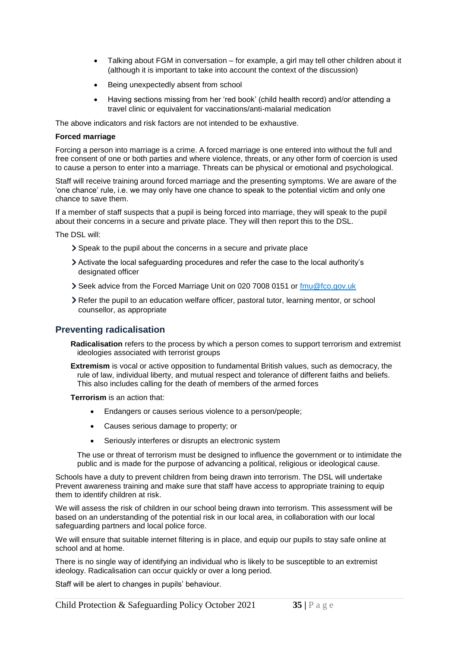- Talking about FGM in conversation for example, a girl may tell other children about it (although it is important to take into account the context of the discussion)
- Being unexpectedly absent from school
- Having sections missing from her 'red book' (child health record) and/or attending a travel clinic or equivalent for vaccinations/anti-malarial medication

The above indicators and risk factors are not intended to be exhaustive.

#### **Forced marriage**

Forcing a person into marriage is a crime. A forced marriage is one entered into without the full and free consent of one or both parties and where violence, threats, or any other form of coercion is used to cause a person to enter into a marriage. Threats can be physical or emotional and psychological.

Staff will receive training around forced marriage and the presenting symptoms. We are aware of the 'one chance' rule, i.e. we may only have one chance to speak to the potential victim and only one chance to save them.

If a member of staff suspects that a pupil is being forced into marriage, they will speak to the pupil about their concerns in a secure and private place. They will then report this to the DSL.

The DSL will:

- Speak to the pupil about the concerns in a secure and private place
- Activate the local safeguarding procedures and refer the case to the local authority's designated officer
- Seek advice from the Forced Marriage Unit on 020 7008 0151 or [fmu@fco.gov.uk](mailto:fmu@fco.gov.uk)
- Refer the pupil to an education welfare officer, pastoral tutor, learning mentor, or school counsellor, as appropriate

### **Preventing radicalisation**

**Radicalisation** refers to the process by which a person comes to support terrorism and extremist ideologies associated with terrorist groups

**Extremism** is vocal or active opposition to fundamental British values, such as democracy, the rule of law, individual liberty, and mutual respect and tolerance of different faiths and beliefs. This also includes calling for the death of members of the armed forces

**Terrorism** is an action that:

- Endangers or causes serious violence to a person/people;
- Causes serious damage to property; or
- Seriously interferes or disrupts an electronic system

The use or threat of terrorism must be designed to influence the government or to intimidate the public and is made for the purpose of advancing a political, religious or ideological cause.

Schools have a duty to prevent children from being drawn into terrorism. The DSL will undertake Prevent awareness training and make sure that staff have access to appropriate training to equip them to identify children at risk.

We will assess the risk of children in our school being drawn into terrorism. This assessment will be based on an understanding of the potential risk in our local area, in collaboration with our local safeguarding partners and local police force.

We will ensure that suitable internet filtering is in place, and equip our pupils to stay safe online at school and at home.

There is no single way of identifying an individual who is likely to be susceptible to an extremist ideology. Radicalisation can occur quickly or over a long period.

Staff will be alert to changes in pupils' behaviour.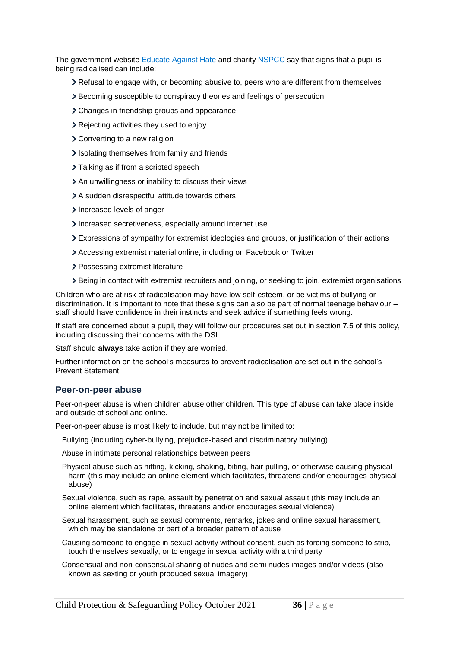The government website [Educate Against Hate](http://educateagainsthate.com/parents/what-are-the-warning-signs/) and charity [NSPCC](https://www.nspcc.org.uk/what-you-can-do/report-abuse/dedicated-helplines/protecting-children-from-radicalisation/) say that signs that a pupil is being radicalised can include:

- Refusal to engage with, or becoming abusive to, peers who are different from themselves
- Becoming susceptible to conspiracy theories and feelings of persecution
- Changes in friendship groups and appearance
- Rejecting activities they used to enjoy
- Converting to a new religion
- Isolating themselves from family and friends
- > Talking as if from a scripted speech
- An unwillingness or inability to discuss their views
- A sudden disrespectful attitude towards others
- > Increased levels of anger
- Increased secretiveness, especially around internet use
- Expressions of sympathy for extremist ideologies and groups, or justification of their actions
- Accessing extremist material online, including on Facebook or Twitter
- Possessing extremist literature
- Being in contact with extremist recruiters and joining, or seeking to join, extremist organisations

Children who are at risk of radicalisation may have low self-esteem, or be victims of bullying or discrimination. It is important to note that these signs can also be part of normal teenage behaviour – staff should have confidence in their instincts and seek advice if something feels wrong.

If staff are concerned about a pupil, they will follow our procedures set out in section 7.5 of this policy, including discussing their concerns with the DSL.

Staff should **always** take action if they are worried.

Further information on the school's measures to prevent radicalisation are set out in the school's Prevent Statement

#### **Peer-on-peer abuse**

Peer-on-peer abuse is when children abuse other children. This type of abuse can take place inside and outside of school and online.

Peer-on-peer abuse is most likely to include, but may not be limited to:

Bullying (including cyber-bullying, prejudice-based and discriminatory bullying)

Abuse in intimate personal relationships between peers

- Physical abuse such as hitting, kicking, shaking, biting, hair pulling, or otherwise causing physical harm (this may include an online element which facilitates, threatens and/or encourages physical abuse)
- Sexual violence, such as rape, assault by penetration and sexual assault (this may include an online element which facilitates, threatens and/or encourages sexual violence)
- Sexual harassment, such as sexual comments, remarks, jokes and online sexual harassment, which may be standalone or part of a broader pattern of abuse
- Causing someone to engage in sexual activity without consent, such as forcing someone to strip, touch themselves sexually, or to engage in sexual activity with a third party
- Consensual and non-consensual sharing of nudes and semi nudes images and/or videos (also known as sexting or youth produced sexual imagery)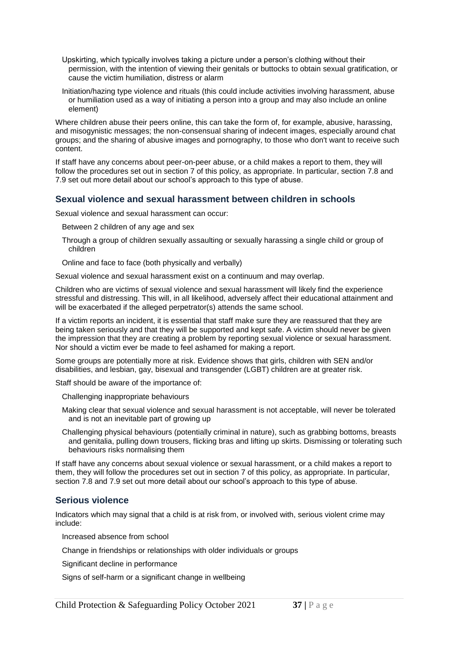- Upskirting, which typically involves taking a picture under a person's clothing without their permission, with the intention of viewing their genitals or buttocks to obtain sexual gratification, or cause the victim humiliation, distress or alarm
- Initiation/hazing type violence and rituals (this could include activities involving harassment, abuse or humiliation used as a way of initiating a person into a group and may also include an online element)

Where children abuse their peers online, this can take the form of, for example, abusive, harassing, and misogynistic messages; the non-consensual sharing of indecent images, especially around chat groups; and the sharing of abusive images and pornography, to those who don't want to receive such content.

If staff have any concerns about peer-on-peer abuse, or a child makes a report to them, they will follow the procedures set out in section 7 of this policy, as appropriate. In particular, section 7.8 and 7.9 set out more detail about our school's approach to this type of abuse.

### **Sexual violence and sexual harassment between children in schools**

Sexual violence and sexual harassment can occur:

Between 2 children of any age and sex

- Through a group of children sexually assaulting or sexually harassing a single child or group of children
- Online and face to face (both physically and verbally)

Sexual violence and sexual harassment exist on a continuum and may overlap.

Children who are victims of sexual violence and sexual harassment will likely find the experience stressful and distressing. This will, in all likelihood, adversely affect their educational attainment and will be exacerbated if the alleged perpetrator(s) attends the same school.

If a victim reports an incident, it is essential that staff make sure they are reassured that they are being taken seriously and that they will be supported and kept safe. A victim should never be given the impression that they are creating a problem by reporting sexual violence or sexual harassment. Nor should a victim ever be made to feel ashamed for making a report.

Some groups are potentially more at risk. Evidence shows that girls, children with SEN and/or disabilities, and lesbian, gay, bisexual and transgender (LGBT) children are at greater risk.

Staff should be aware of the importance of:

- Challenging inappropriate behaviours
- Making clear that sexual violence and sexual harassment is not acceptable, will never be tolerated and is not an inevitable part of growing up
- Challenging physical behaviours (potentially criminal in nature), such as grabbing bottoms, breasts and genitalia, pulling down trousers, flicking bras and lifting up skirts. Dismissing or tolerating such behaviours risks normalising them

If staff have any concerns about sexual violence or sexual harassment, or a child makes a report to them, they will follow the procedures set out in section 7 of this policy, as appropriate. In particular, section 7.8 and 7.9 set out more detail about our school's approach to this type of abuse.

### **Serious violence**

Indicators which may signal that a child is at risk from, or involved with, serious violent crime may include:

Increased absence from school

Change in friendships or relationships with older individuals or groups

Significant decline in performance

Signs of self-harm or a significant change in wellbeing